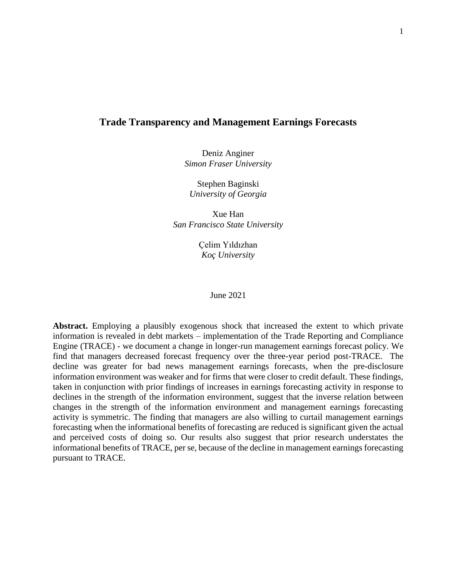## **Trade Transparency and Management Earnings Forecasts**

Deniz Anginer *Simon Fraser University* 

Stephen Baginski *University of Georgia*

Xue Han *San Francisco State University*

> Çelim Yıldızhan *Koç University*

#### June 2021

**Abstract.** Employing a plausibly exogenous shock that increased the extent to which private information is revealed in debt markets – implementation of the Trade Reporting and Compliance Engine (TRACE) - we document a change in longer-run management earnings forecast policy. We find that managers decreased forecast frequency over the three-year period post-TRACE. The decline was greater for bad news management earnings forecasts, when the pre-disclosure information environment was weaker and for firms that were closer to credit default. These findings, taken in conjunction with prior findings of increases in earnings forecasting activity in response to declines in the strength of the information environment, suggest that the inverse relation between changes in the strength of the information environment and management earnings forecasting activity is symmetric. The finding that managers are also willing to curtail management earnings forecasting when the informational benefits of forecasting are reduced is significant given the actual and perceived costs of doing so. Our results also suggest that prior research understates the informational benefits of TRACE, per se, because of the decline in management earnings forecasting pursuant to TRACE.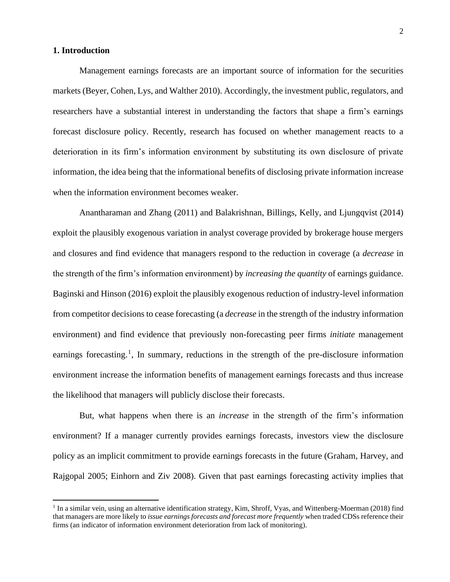#### **1. Introduction**

Management earnings forecasts are an important source of information for the securities markets (Beyer, Cohen, Lys, and Walther 2010). Accordingly, the investment public, regulators, and researchers have a substantial interest in understanding the factors that shape a firm's earnings forecast disclosure policy. Recently, research has focused on whether management reacts to a deterioration in its firm's information environment by substituting its own disclosure of private information, the idea being that the informational benefits of disclosing private information increase when the information environment becomes weaker.

Anantharaman and Zhang (2011) and Balakrishnan, Billings, Kelly, and Ljungqvist (2014) exploit the plausibly exogenous variation in analyst coverage provided by brokerage house mergers and closures and find evidence that managers respond to the reduction in coverage (a *decrease* in the strength of the firm's information environment) by *increasing the quantity* of earnings guidance. Baginski and Hinson (2016) exploit the plausibly exogenous reduction of industry-level information from competitor decisions to cease forecasting (a *decrease* in the strength of the industry information environment) and find evidence that previously non-forecasting peer firms *initiate* management earnings forecasting.<sup>1</sup>, In summary, reductions in the strength of the pre-disclosure information environment increase the information benefits of management earnings forecasts and thus increase the likelihood that managers will publicly disclose their forecasts.

But, what happens when there is an *increase* in the strength of the firm's information environment? If a manager currently provides earnings forecasts, investors view the disclosure policy as an implicit commitment to provide earnings forecasts in the future (Graham, Harvey, and Rajgopal 2005; Einhorn and Ziv 2008). Given that past earnings forecasting activity implies that

<sup>&</sup>lt;sup>1</sup> In a similar vein, using an alternative identification strategy, Kim, Shroff, Vyas, and Wittenberg-Moerman (2018) find that managers are more likely to *issue earnings forecasts and forecast more frequently* when traded CDSs reference their firms (an indicator of information environment deterioration from lack of monitoring).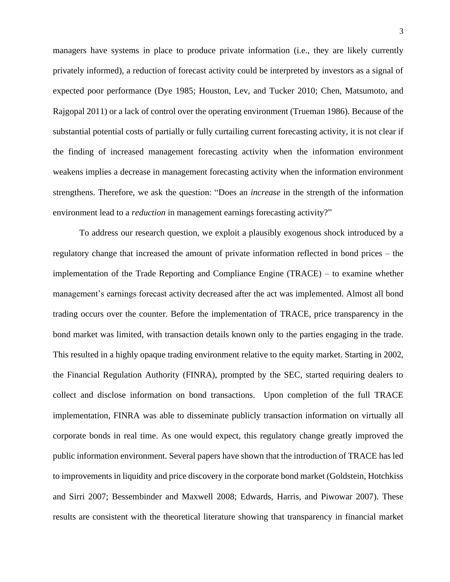managers have systems in place to produce private information (i.e., they are likely currently privately informed), a reduction of forecast activity could be interpreted by investors as a signal of expected poor performance (Dye 1985; Houston, Lev, and Tucker 2010; Chen, Matsumoto, and Rajgopal 2011) or a lack of control over the operating environment (Trueman 1986). Because of the substantial potential costs of partially or fully curtailing current forecasting activity, it is not clear if the finding of increased management forecasting activity when the information environment weakens implies a decrease in management forecasting activity when the information environment strengthens. Therefore, we ask the question: "Does an *increase* in the strength of the information environment lead to a *reduction* in management earnings forecasting activity?"

To address our research question, we exploit a plausibly exogenous shock introduced by a regulatory change that increased the amount of private information reflected in bond prices – the implementation of the Trade Reporting and Compliance Engine (TRACE) – to examine whether management's earnings forecast activity decreased after the act was implemented. Almost all bond trading occurs over the counter. Before the implementation of TRACE, price transparency in the bond market was limited, with transaction details known only to the parties engaging in the trade. This resulted in a highly opaque trading environment relative to the equity market. Starting in 2002, the Financial Regulation Authority (FINRA), prompted by the SEC, started requiring dealers to collect and disclose information on bond transactions. Upon completion of the full TRACE implementation, FINRA was able to disseminate publicly transaction information on virtually all corporate bonds in real time. As one would expect, this regulatory change greatly improved the public information environment. Several papers have shown that the introduction of TRACE has led to improvements in liquidity and price discovery in the corporate bond market (Goldstein, Hotchkiss and Sirri 2007; Bessembinder and Maxwell 2008; Edwards, Harris, and Piwowar 2007). These results are consistent with the theoretical literature showing that transparency in financial market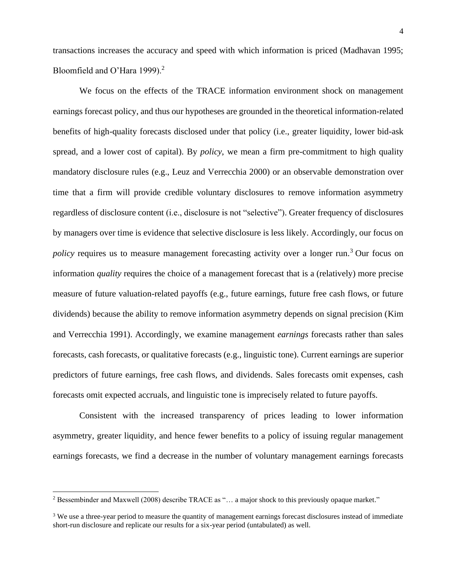transactions increases the accuracy and speed with which information is priced (Madhavan 1995; Bloomfield and O'Hara 1999).<sup>2</sup>

We focus on the effects of the TRACE information environment shock on management earnings forecast policy, and thus our hypotheses are grounded in the theoretical information-related benefits of high-quality forecasts disclosed under that policy (i.e., greater liquidity, lower bid-ask spread, and a lower cost of capital). By *policy*, we mean a firm pre-commitment to high quality mandatory disclosure rules (e.g., Leuz and Verrecchia 2000) or an observable demonstration over time that a firm will provide credible voluntary disclosures to remove information asymmetry regardless of disclosure content (i.e., disclosure is not "selective"). Greater frequency of disclosures by managers over time is evidence that selective disclosure is less likely. Accordingly, our focus on *policy* requires us to measure management forecasting activity over a longer run.<sup>3</sup> Our focus on information *quality* requires the choice of a management forecast that is a (relatively) more precise measure of future valuation-related payoffs (e.g., future earnings, future free cash flows, or future dividends) because the ability to remove information asymmetry depends on signal precision (Kim and Verrecchia 1991). Accordingly, we examine management *earnings* forecasts rather than sales forecasts, cash forecasts, or qualitative forecasts (e.g., linguistic tone). Current earnings are superior predictors of future earnings, free cash flows, and dividends. Sales forecasts omit expenses, cash forecasts omit expected accruals, and linguistic tone is imprecisely related to future payoffs.

Consistent with the increased transparency of prices leading to lower information asymmetry, greater liquidity, and hence fewer benefits to a policy of issuing regular management earnings forecasts, we find a decrease in the number of voluntary management earnings forecasts

<sup>2</sup> Bessembinder and Maxwell (2008) describe TRACE as "… a major shock to this previously opaque market."

<sup>&</sup>lt;sup>3</sup> We use a three-year period to measure the quantity of management earnings forecast disclosures instead of immediate short-run disclosure and replicate our results for a six-year period (untabulated) as well.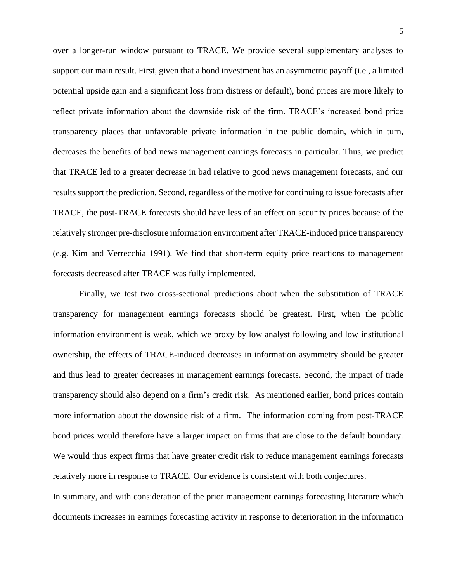over a longer-run window pursuant to TRACE. We provide several supplementary analyses to support our main result. First, given that a bond investment has an asymmetric payoff (i.e., a limited potential upside gain and a significant loss from distress or default), bond prices are more likely to reflect private information about the downside risk of the firm. TRACE's increased bond price transparency places that unfavorable private information in the public domain, which in turn, decreases the benefits of bad news management earnings forecasts in particular. Thus, we predict that TRACE led to a greater decrease in bad relative to good news management forecasts, and our results support the prediction. Second, regardless of the motive for continuing to issue forecasts after TRACE, the post-TRACE forecasts should have less of an effect on security prices because of the relatively stronger pre-disclosure information environment after TRACE-induced price transparency (e.g. Kim and Verrecchia 1991). We find that short-term equity price reactions to management forecasts decreased after TRACE was fully implemented.

Finally, we test two cross-sectional predictions about when the substitution of TRACE transparency for management earnings forecasts should be greatest. First, when the public information environment is weak, which we proxy by low analyst following and low institutional ownership, the effects of TRACE-induced decreases in information asymmetry should be greater and thus lead to greater decreases in management earnings forecasts. Second, the impact of trade transparency should also depend on a firm's credit risk. As mentioned earlier, bond prices contain more information about the downside risk of a firm. The information coming from post-TRACE bond prices would therefore have a larger impact on firms that are close to the default boundary. We would thus expect firms that have greater credit risk to reduce management earnings forecasts relatively more in response to TRACE. Our evidence is consistent with both conjectures.

In summary, and with consideration of the prior management earnings forecasting literature which documents increases in earnings forecasting activity in response to deterioration in the information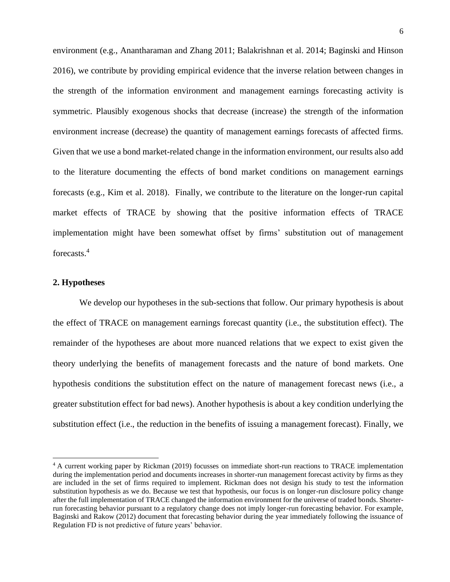environment (e.g., Anantharaman and Zhang 2011; Balakrishnan et al. 2014; Baginski and Hinson 2016), we contribute by providing empirical evidence that the inverse relation between changes in the strength of the information environment and management earnings forecasting activity is symmetric. Plausibly exogenous shocks that decrease (increase) the strength of the information environment increase (decrease) the quantity of management earnings forecasts of affected firms. Given that we use a bond market-related change in the information environment, our results also add to the literature documenting the effects of bond market conditions on management earnings forecasts (e.g., Kim et al. 2018). Finally, we contribute to the literature on the longer-run capital market effects of TRACE by showing that the positive information effects of TRACE implementation might have been somewhat offset by firms' substitution out of management forecasts.<sup>4</sup>

### **2. Hypotheses**

We develop our hypotheses in the sub-sections that follow. Our primary hypothesis is about the effect of TRACE on management earnings forecast quantity (i.e., the substitution effect). The remainder of the hypotheses are about more nuanced relations that we expect to exist given the theory underlying the benefits of management forecasts and the nature of bond markets. One hypothesis conditions the substitution effect on the nature of management forecast news (i.e., a greater substitution effect for bad news). Another hypothesis is about a key condition underlying the substitution effect (i.e., the reduction in the benefits of issuing a management forecast). Finally, we

<sup>4</sup> A current working paper by Rickman (2019) focusses on immediate short-run reactions to TRACE implementation during the implementation period and documents increases in shorter-run management forecast activity by firms as they are included in the set of firms required to implement. Rickman does not design his study to test the information substitution hypothesis as we do. Because we test that hypothesis, our focus is on longer-run disclosure policy change after the full implementation of TRACE changed the information environment for the universe of traded bonds. Shorterrun forecasting behavior pursuant to a regulatory change does not imply longer-run forecasting behavior. For example, Baginski and Rakow (2012) document that forecasting behavior during the year immediately following the issuance of Regulation FD is not predictive of future years' behavior.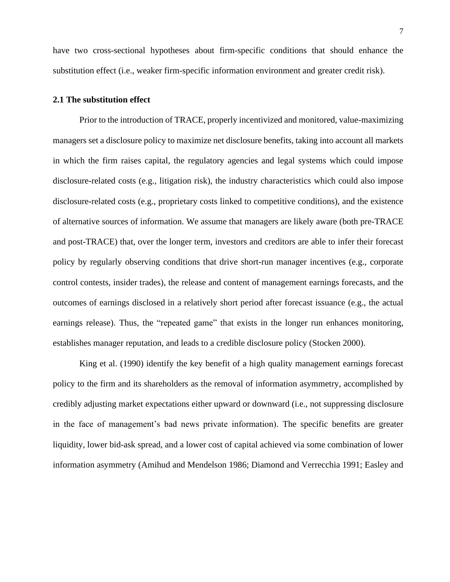have two cross-sectional hypotheses about firm-specific conditions that should enhance the substitution effect (i.e., weaker firm-specific information environment and greater credit risk).

#### **2.1 The substitution effect**

Prior to the introduction of TRACE, properly incentivized and monitored, value-maximizing managers set a disclosure policy to maximize net disclosure benefits, taking into account all markets in which the firm raises capital, the regulatory agencies and legal systems which could impose disclosure-related costs (e.g., litigation risk), the industry characteristics which could also impose disclosure-related costs (e.g., proprietary costs linked to competitive conditions), and the existence of alternative sources of information. We assume that managers are likely aware (both pre-TRACE and post-TRACE) that, over the longer term, investors and creditors are able to infer their forecast policy by regularly observing conditions that drive short-run manager incentives (e.g., corporate control contests, insider trades), the release and content of management earnings forecasts, and the outcomes of earnings disclosed in a relatively short period after forecast issuance (e.g., the actual earnings release). Thus, the "repeated game" that exists in the longer run enhances monitoring, establishes manager reputation, and leads to a credible disclosure policy (Stocken 2000).

King et al. (1990) identify the key benefit of a high quality management earnings forecast policy to the firm and its shareholders as the removal of information asymmetry, accomplished by credibly adjusting market expectations either upward or downward (i.e., not suppressing disclosure in the face of management's bad news private information). The specific benefits are greater liquidity, lower bid-ask spread, and a lower cost of capital achieved via some combination of lower information asymmetry (Amihud and Mendelson 1986; Diamond and Verrecchia 1991; Easley and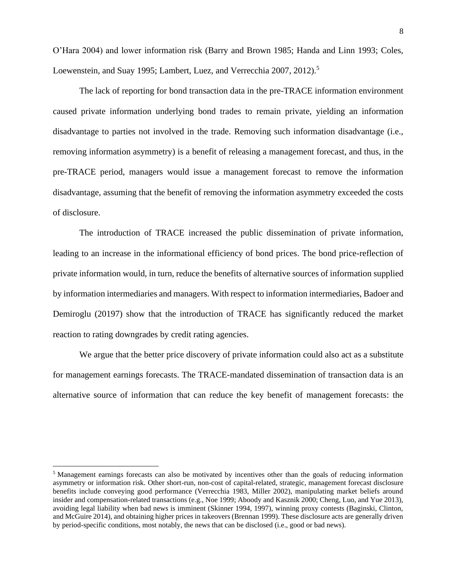O'Hara 2004) and lower information risk (Barry and Brown 1985; Handa and Linn 1993; Coles, Loewenstein, and Suay 1995; Lambert, Luez, and Verrecchia 2007, 2012).<sup>5</sup>

The lack of reporting for bond transaction data in the pre-TRACE information environment caused private information underlying bond trades to remain private, yielding an information disadvantage to parties not involved in the trade. Removing such information disadvantage (i.e., removing information asymmetry) is a benefit of releasing a management forecast, and thus, in the pre-TRACE period, managers would issue a management forecast to remove the information disadvantage, assuming that the benefit of removing the information asymmetry exceeded the costs of disclosure.

The introduction of TRACE increased the public dissemination of private information, leading to an increase in the informational efficiency of bond prices. The bond price-reflection of private information would, in turn, reduce the benefits of alternative sources of information supplied by information intermediaries and managers. With respect to information intermediaries, Badoer and Demiroglu (20197) show that the introduction of TRACE has significantly reduced the market reaction to rating downgrades by credit rating agencies.

We argue that the better price discovery of private information could also act as a substitute for management earnings forecasts. The TRACE-mandated dissemination of transaction data is an alternative source of information that can reduce the key benefit of management forecasts: the

<sup>5</sup> Management earnings forecasts can also be motivated by incentives other than the goals of reducing information asymmetry or information risk. Other short-run, non-cost of capital-related, strategic, management forecast disclosure benefits include conveying good performance (Verrecchia 1983, Miller 2002), manipulating market beliefs around insider and compensation-related transactions (e.g., Noe 1999; Aboody and Kasznik 2000; Cheng, Luo, and Yue 2013), avoiding legal liability when bad news is imminent (Skinner 1994, 1997), winning proxy contests (Baginski, Clinton, and McGuire 2014), and obtaining higher prices in takeovers (Brennan 1999). These disclosure acts are generally driven by period-specific conditions, most notably, the news that can be disclosed (i.e., good or bad news).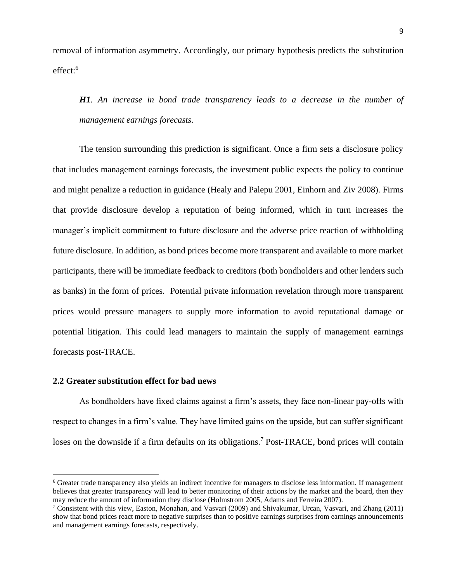removal of information asymmetry. Accordingly, our primary hypothesis predicts the substitution effect: 6

*H1. An increase in bond trade transparency leads to a decrease in the number of management earnings forecasts.* 

The tension surrounding this prediction is significant. Once a firm sets a disclosure policy that includes management earnings forecasts, the investment public expects the policy to continue and might penalize a reduction in guidance (Healy and Palepu 2001, Einhorn and Ziv 2008). Firms that provide disclosure develop a reputation of being informed, which in turn increases the manager's implicit commitment to future disclosure and the adverse price reaction of withholding future disclosure. In addition, as bond prices become more transparent and available to more market participants, there will be immediate feedback to creditors (both bondholders and other lenders such as banks) in the form of prices. Potential private information revelation through more transparent prices would pressure managers to supply more information to avoid reputational damage or potential litigation. This could lead managers to maintain the supply of management earnings forecasts post-TRACE.

## **2.2 Greater substitution effect for bad news**

As bondholders have fixed claims against a firm's assets, they face non-linear pay-offs with respect to changes in a firm's value. They have limited gains on the upside, but can suffer significant loses on the downside if a firm defaults on its obligations.<sup>7</sup> Post-TRACE, bond prices will contain

<sup>6</sup> Greater trade transparency also yields an indirect incentive for managers to disclose less information. If management believes that greater transparency will lead to better monitoring of their actions by the market and the board, then they may reduce the amount of information they disclose (Holmstrom 2005, Adams and Ferreira 2007).

<sup>7</sup> Consistent with this view, Easton, Monahan, and Vasvari (2009) and Shivakumar, Urcan, Vasvari, and Zhang (2011) show that bond prices react more to negative surprises than to positive earnings surprises from earnings announcements and management earnings forecasts, respectively.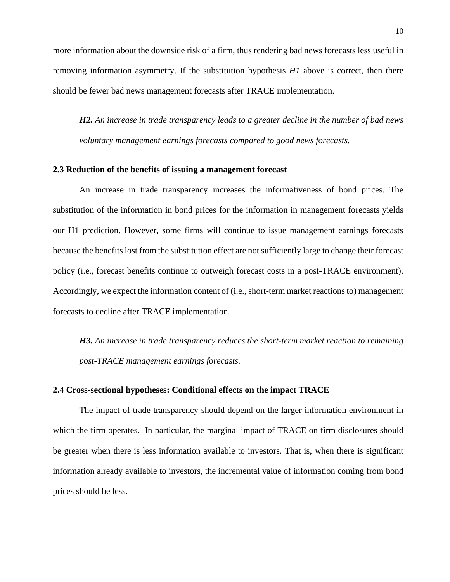more information about the downside risk of a firm, thus rendering bad news forecasts less useful in removing information asymmetry. If the substitution hypothesis *H1* above is correct, then there should be fewer bad news management forecasts after TRACE implementation.

*H2. An increase in trade transparency leads to a greater decline in the number of bad news voluntary management earnings forecasts compared to good news forecasts.* 

#### **2.3 Reduction of the benefits of issuing a management forecast**

An increase in trade transparency increases the informativeness of bond prices. The substitution of the information in bond prices for the information in management forecasts yields our H1 prediction. However, some firms will continue to issue management earnings forecasts because the benefits lost from the substitution effect are not sufficiently large to change their forecast policy (i.e., forecast benefits continue to outweigh forecast costs in a post-TRACE environment). Accordingly, we expect the information content of (i.e., short-term market reactions to) management forecasts to decline after TRACE implementation.

*H3. An increase in trade transparency reduces the short-term market reaction to remaining post-TRACE management earnings forecasts.*

#### **2.4 Cross-sectional hypotheses: Conditional effects on the impact TRACE**

The impact of trade transparency should depend on the larger information environment in which the firm operates. In particular, the marginal impact of TRACE on firm disclosures should be greater when there is less information available to investors. That is, when there is significant information already available to investors, the incremental value of information coming from bond prices should be less.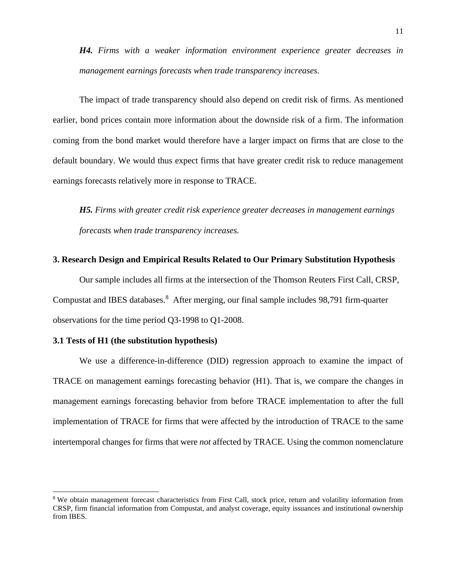*H4. Firms with a weaker information environment experience greater decreases in management earnings forecasts when trade transparency increases.*

The impact of trade transparency should also depend on credit risk of firms. As mentioned earlier, bond prices contain more information about the downside risk of a firm. The information coming from the bond market would therefore have a larger impact on firms that are close to the default boundary. We would thus expect firms that have greater credit risk to reduce management earnings forecasts relatively more in response to TRACE.

*H5. Firms with greater credit risk experience greater decreases in management earnings forecasts when trade transparency increases.*

#### **3. Research Design and Empirical Results Related to Our Primary Substitution Hypothesis**

Our sample includes all firms at the intersection of the Thomson Reuters First Call, CRSP, Compustat and IBES databases.<sup>8</sup> After merging, our final sample includes 98,791 firm-quarter observations for the time period Q3-1998 to Q1-2008.

#### **3.1 Tests of H1 (the substitution hypothesis)**

We use a difference-in-difference (DID) regression approach to examine the impact of TRACE on management earnings forecasting behavior (H1). That is, we compare the changes in management earnings forecasting behavior from before TRACE implementation to after the full implementation of TRACE for firms that were affected by the introduction of TRACE to the same intertemporal changes for firms that were *not* affected by TRACE. Using the common nomenclature

<sup>&</sup>lt;sup>8</sup> We obtain management forecast characteristics from First Call, stock price, return and volatility information from CRSP, firm financial information from Compustat, and analyst coverage, equity issuances and institutional ownership from IBES.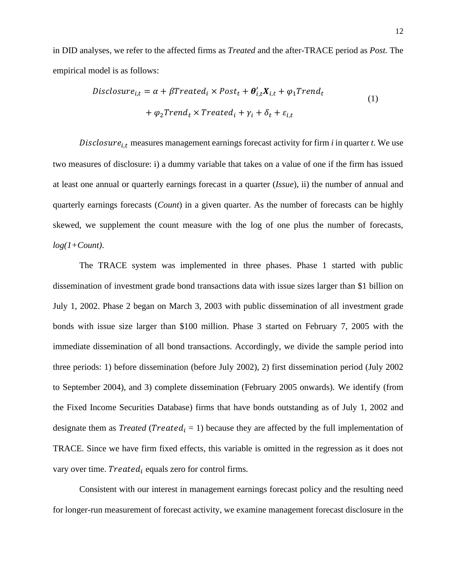in DID analyses, we refer to the affected firms as *Treated* and the after-TRACE period as *Post.* The empirical model is as follows:

$$
Disclosure_{i,t} = \alpha + \beta Treated_i \times Post_t + \theta'_{i,t}X_{i,t} + \varphi_1 Trend_t
$$
  
+  $\varphi_2 Trend_t \times Treated_i + \gamma_i + \delta_t + \varepsilon_{i,t}$  (1)

Disclosure $_{i,t}$  measures management earnings forecast activity for firm  $i$  in quarter  $t$ . We use two measures of disclosure: i) a dummy variable that takes on a value of one if the firm has issued at least one annual or quarterly earnings forecast in a quarter (*Issue*), ii) the number of annual and quarterly earnings forecasts (*Count*) in a given quarter. As the number of forecasts can be highly skewed, we supplement the count measure with the log of one plus the number of forecasts, *log(1+Count)*.

The TRACE system was implemented in three phases. Phase 1 started with public dissemination of investment grade bond transactions data with issue sizes larger than \$1 billion on July 1, 2002. Phase 2 began on March 3, 2003 with public dissemination of all investment grade bonds with issue size larger than \$100 million. Phase 3 started on February 7, 2005 with the immediate dissemination of all bond transactions. Accordingly, we divide the sample period into three periods: 1) before dissemination (before July 2002), 2) first dissemination period (July 2002 to September 2004), and 3) complete dissemination (February 2005 onwards). We identify (from the Fixed Income Securities Database) firms that have bonds outstanding as of July 1, 2002 and designate them as *Treated* (*Treated*<sub>i</sub> = 1) because they are affected by the full implementation of TRACE. Since we have firm fixed effects, this variable is omitted in the regression as it does not vary over time. *Treated<sub>i</sub>* equals zero for control firms.

Consistent with our interest in management earnings forecast policy and the resulting need for longer-run measurement of forecast activity, we examine management forecast disclosure in the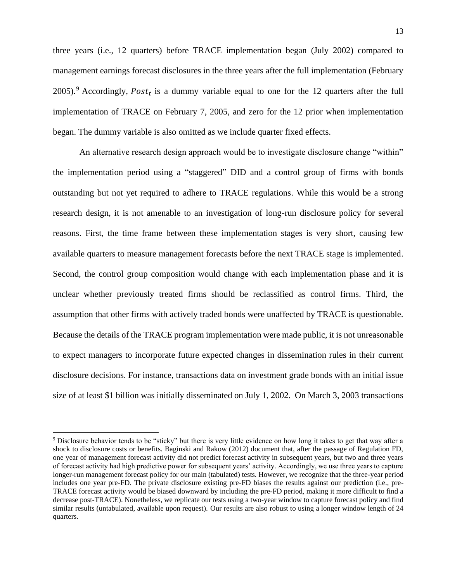three years (i.e., 12 quarters) before TRACE implementation began (July 2002) compared to management earnings forecast disclosures in the three years after the full implementation (February 2005).<sup>9</sup> Accordingly,  $Post<sub>t</sub>$  is a dummy variable equal to one for the 12 quarters after the full implementation of TRACE on February 7, 2005, and zero for the 12 prior when implementation began. The dummy variable is also omitted as we include quarter fixed effects.

An alternative research design approach would be to investigate disclosure change "within" the implementation period using a "staggered" DID and a control group of firms with bonds outstanding but not yet required to adhere to TRACE regulations. While this would be a strong research design, it is not amenable to an investigation of long-run disclosure policy for several reasons. First, the time frame between these implementation stages is very short, causing few available quarters to measure management forecasts before the next TRACE stage is implemented. Second, the control group composition would change with each implementation phase and it is unclear whether previously treated firms should be reclassified as control firms. Third, the assumption that other firms with actively traded bonds were unaffected by TRACE is questionable. Because the details of the TRACE program implementation were made public, it is not unreasonable to expect managers to incorporate future expected changes in dissemination rules in their current disclosure decisions. For instance, transactions data on investment grade bonds with an initial issue size of at least \$1 billion was initially disseminated on July 1, 2002. On March 3, 2003 transactions

<sup>9</sup> Disclosure behavior tends to be "sticky" but there is very little evidence on how long it takes to get that way after a shock to disclosure costs or benefits. Baginski and Rakow (2012) document that, after the passage of Regulation FD, one year of management forecast activity did not predict forecast activity in subsequent years, but two and three years of forecast activity had high predictive power for subsequent years' activity. Accordingly, we use three years to capture longer-run management forecast policy for our main (tabulated) tests. However, we recognize that the three-year period includes one year pre-FD. The private disclosure existing pre-FD biases the results against our prediction (i.e., pre-TRACE forecast activity would be biased downward by including the pre-FD period, making it more difficult to find a decrease post-TRACE). Nonetheless, we replicate our tests using a two-year window to capture forecast policy and find similar results (untabulated, available upon request). Our results are also robust to using a longer window length of 24 quarters.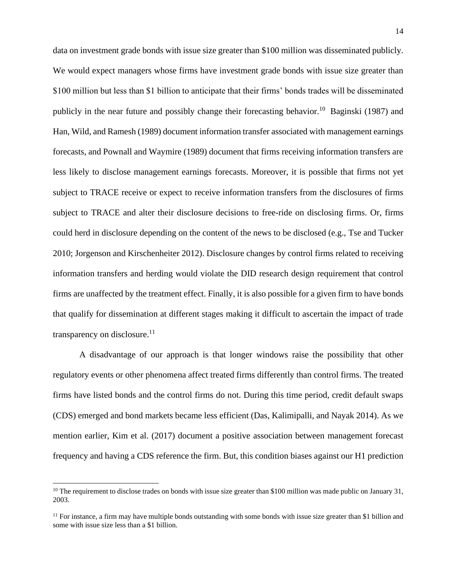data on investment grade bonds with issue size greater than \$100 million was disseminated publicly. We would expect managers whose firms have investment grade bonds with issue size greater than \$100 million but less than \$1 billion to anticipate that their firms' bonds trades will be disseminated publicly in the near future and possibly change their forecasting behavior.<sup>10</sup> Baginski (1987) and Han, Wild, and Ramesh (1989) document information transfer associated with management earnings forecasts, and Pownall and Waymire (1989) document that firms receiving information transfers are less likely to disclose management earnings forecasts. Moreover, it is possible that firms not yet subject to TRACE receive or expect to receive information transfers from the disclosures of firms subject to TRACE and alter their disclosure decisions to free-ride on disclosing firms. Or, firms could herd in disclosure depending on the content of the news to be disclosed (e.g., Tse and Tucker 2010; Jorgenson and Kirschenheiter 2012). Disclosure changes by control firms related to receiving information transfers and herding would violate the DID research design requirement that control firms are unaffected by the treatment effect. Finally, it is also possible for a given firm to have bonds that qualify for dissemination at different stages making it difficult to ascertain the impact of trade transparency on disclosure.<sup>11</sup>

A disadvantage of our approach is that longer windows raise the possibility that other regulatory events or other phenomena affect treated firms differently than control firms. The treated firms have listed bonds and the control firms do not. During this time period, credit default swaps (CDS) emerged and bond markets became less efficient (Das, Kalimipalli, and Nayak 2014). As we mention earlier, Kim et al. (2017) document a positive association between management forecast frequency and having a CDS reference the firm. But, this condition biases against our H1 prediction

 $10$  The requirement to disclose trades on bonds with issue size greater than \$100 million was made public on January 31, 2003.

 $11$  For instance, a firm may have multiple bonds outstanding with some bonds with issue size greater than \$1 billion and some with issue size less than a \$1 billion.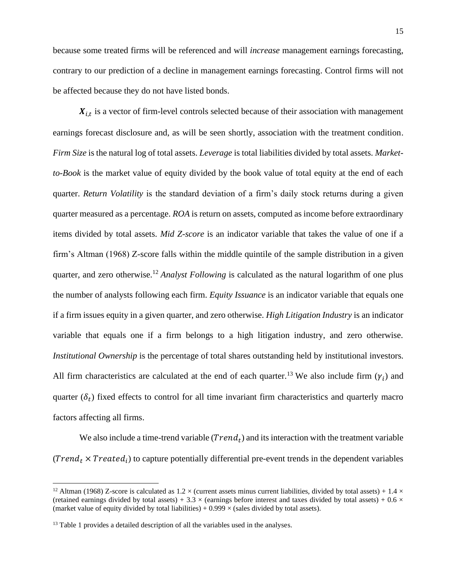because some treated firms will be referenced and will *increase* management earnings forecasting, contrary to our prediction of a decline in management earnings forecasting. Control firms will not be affected because they do not have listed bonds.

 $X_{i,t}$  is a vector of firm-level controls selected because of their association with management earnings forecast disclosure and, as will be seen shortly, association with the treatment condition. *Firm Size* is the natural log of total assets. *Leverage* is total liabilities divided by total assets. *Marketto-Book* is the market value of equity divided by the book value of total equity at the end of each quarter. *Return Volatility* is the standard deviation of a firm's daily stock returns during a given quarter measured as a percentage. *ROA* is return on assets, computed as income before extraordinary items divided by total assets. *Mid Z-score* is an indicator variable that takes the value of one if a firm's Altman (1968) Z-score falls within the middle quintile of the sample distribution in a given quarter, and zero otherwise.<sup>12</sup> *Analyst Following* is calculated as the natural logarithm of one plus the number of analysts following each firm. *Equity Issuance* is an indicator variable that equals one if a firm issues equity in a given quarter, and zero otherwise. *High Litigation Industry* is an indicator variable that equals one if a firm belongs to a high litigation industry, and zero otherwise. *Institutional Ownership* is the percentage of total shares outstanding held by institutional investors. All firm characteristics are calculated at the end of each quarter.<sup>13</sup> We also include firm  $(\gamma_i)$  and quarter  $(\delta_t)$  fixed effects to control for all time invariant firm characteristics and quarterly macro factors affecting all firms.

We also include a time-trend variable  $(Trend_t)$  and its interaction with the treatment variable (*Trend<sub>t</sub>*  $\times$  *Treated<sub>i</sub>*) to capture potentially differential pre-event trends in the dependent variables

<sup>&</sup>lt;sup>12</sup> Altman (1968) Z-score is calculated as  $1.2 \times$  (current assets minus current liabilities, divided by total assets) +  $1.4 \times$ (retained earnings divided by total assets) + 3.3  $\times$  (earnings before interest and taxes divided by total assets) + 0.6  $\times$ (market value of equity divided by total liabilities) +  $0.999 \times$  (sales divided by total assets).

<sup>&</sup>lt;sup>13</sup> Table 1 provides a detailed description of all the variables used in the analyses.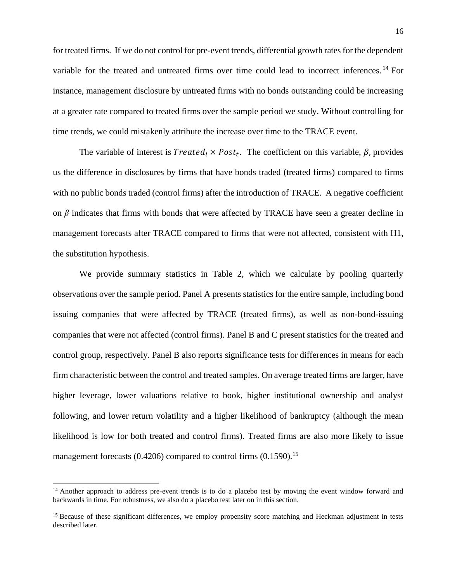for treated firms. If we do not control for pre-event trends, differential growth rates for the dependent variable for the treated and untreated firms over time could lead to incorrect inferences. <sup>14</sup> For instance, management disclosure by untreated firms with no bonds outstanding could be increasing at a greater rate compared to treated firms over the sample period we study. Without controlling for time trends, we could mistakenly attribute the increase over time to the TRACE event.

The variable of interest is  $Treated_i \times Post_t$ . The coefficient on this variable,  $\beta$ , provides us the difference in disclosures by firms that have bonds traded (treated firms) compared to firms with no public bonds traded (control firms) after the introduction of TRACE. A negative coefficient on  $\beta$  indicates that firms with bonds that were affected by TRACE have seen a greater decline in management forecasts after TRACE compared to firms that were not affected, consistent with H1, the substitution hypothesis.

We provide summary statistics in Table 2, which we calculate by pooling quarterly observations over the sample period. Panel A presents statistics for the entire sample, including bond issuing companies that were affected by TRACE (treated firms), as well as non-bond-issuing companies that were not affected (control firms). Panel B and C present statistics for the treated and control group, respectively. Panel B also reports significance tests for differences in means for each firm characteristic between the control and treated samples. On average treated firms are larger, have higher leverage, lower valuations relative to book, higher institutional ownership and analyst following, and lower return volatility and a higher likelihood of bankruptcy (although the mean likelihood is low for both treated and control firms). Treated firms are also more likely to issue management forecasts  $(0.4206)$  compared to control firms  $(0.1590).$ <sup>15</sup>

<sup>&</sup>lt;sup>14</sup> Another approach to address pre-event trends is to do a placebo test by moving the event window forward and backwards in time. For robustness, we also do a placebo test later on in this section.

<sup>&</sup>lt;sup>15</sup> Because of these significant differences, we employ propensity score matching and Heckman adjustment in tests described later.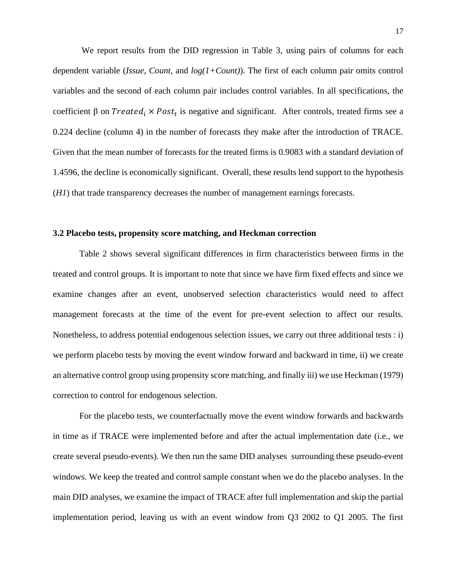We report results from the DID regression in Table 3, using pairs of columns for each dependent variable (*Issue*, *Count*, and *log(1+Count)*). The first of each column pair omits control variables and the second of each column pair includes control variables. In all specifications, the coefficient  $\beta$  on *Treated<sub>i</sub>* × *Post<sub>t</sub>* is negative and significant. After controls, treated firms see a 0.224 decline (column 4) in the number of forecasts they make after the introduction of TRACE. Given that the mean number of forecasts for the treated firms is 0.9083 with a standard deviation of 1.4596, the decline is economically significant. Overall, these results lend support to the hypothesis (*H1*) that trade transparency decreases the number of management earnings forecasts.

#### **3.2 Placebo tests, propensity score matching, and Heckman correction**

Table 2 shows several significant differences in firm characteristics between firms in the treated and control groups. It is important to note that since we have firm fixed effects and since we examine changes after an event, unobserved selection characteristics would need to affect management forecasts at the time of the event for pre-event selection to affect our results. Nonetheless, to address potential endogenous selection issues, we carry out three additional tests : i) we perform placebo tests by moving the event window forward and backward in time, ii) we create an alternative control group using propensity score matching, and finally iii) we use Heckman (1979) correction to control for endogenous selection.

For the placebo tests, we counterfactually move the event window forwards and backwards in time as if TRACE were implemented before and after the actual implementation date (i.e., we create several pseudo-events). We then run the same DID analyses surrounding these pseudo-event windows. We keep the treated and control sample constant when we do the placebo analyses. In the main DID analyses, we examine the impact of TRACE after full implementation and skip the partial implementation period, leaving us with an event window from Q3 2002 to Q1 2005. The first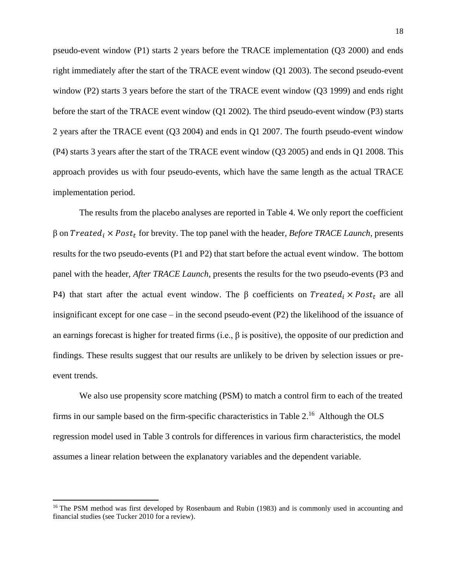pseudo-event window (P1) starts 2 years before the TRACE implementation (Q3 2000) and ends right immediately after the start of the TRACE event window (Q1 2003). The second pseudo-event window (P2) starts 3 years before the start of the TRACE event window (Q3 1999) and ends right before the start of the TRACE event window (Q1 2002). The third pseudo-event window (P3) starts 2 years after the TRACE event (Q3 2004) and ends in Q1 2007. The fourth pseudo-event window (P4) starts 3 years after the start of the TRACE event window (Q3 2005) and ends in Q1 2008. This approach provides us with four pseudo-events, which have the same length as the actual TRACE implementation period.

The results from the placebo analyses are reported in Table 4. We only report the coefficient β on *Treated<sub>i</sub>* × *Post<sub>t</sub>* for brevity. The top panel with the header, *Before TRACE Launch*, presents results for the two pseudo-events (P1 and P2) that start before the actual event window. The bottom panel with the header, *After TRACE Launch*, presents the results for the two pseudo-events (P3 and P4) that start after the actual event window. The β coefficients on  $Treated_i \times Post_t$  are all insignificant except for one case – in the second pseudo-event (P2) the likelihood of the issuance of an earnings forecast is higher for treated firms (i.e., β is positive), the opposite of our prediction and findings. These results suggest that our results are unlikely to be driven by selection issues or preevent trends.

We also use propensity score matching (PSM) to match a control firm to each of the treated firms in our sample based on the firm-specific characteristics in Table 2.<sup>16</sup> Although the OLS regression model used in Table 3 controls for differences in various firm characteristics, the model assumes a linear relation between the explanatory variables and the dependent variable.

<sup>&</sup>lt;sup>16</sup> The PSM method was first developed by Rosenbaum and Rubin (1983) and is commonly used in accounting and financial studies (see Tucker 2010 for a review).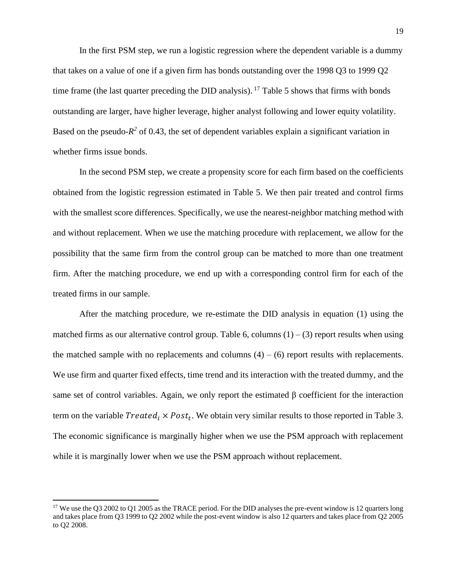In the first PSM step, we run a logistic regression where the dependent variable is a dummy that takes on a value of one if a given firm has bonds outstanding over the 1998 Q3 to 1999 Q2 time frame (the last quarter preceding the DID analysis). <sup>17</sup> Table 5 shows that firms with bonds outstanding are larger, have higher leverage, higher analyst following and lower equity volatility. Based on the pseudo- $R^2$  of 0.43, the set of dependent variables explain a significant variation in whether firms issue bonds.

In the second PSM step, we create a propensity score for each firm based on the coefficients obtained from the logistic regression estimated in Table 5. We then pair treated and control firms with the smallest score differences. Specifically, we use the nearest-neighbor matching method with and without replacement. When we use the matching procedure with replacement, we allow for the possibility that the same firm from the control group can be matched to more than one treatment firm. After the matching procedure, we end up with a corresponding control firm for each of the treated firms in our sample.

After the matching procedure, we re-estimate the DID analysis in equation (1) using the matched firms as our alternative control group. Table 6, columns  $(1) - (3)$  report results when using the matched sample with no replacements and columns  $(4) - (6)$  report results with replacements. We use firm and quarter fixed effects, time trend and its interaction with the treated dummy, and the same set of control variables. Again, we only report the estimated β coefficient for the interaction term on the variable  $Treated_i \times Post_t$ . We obtain very similar results to those reported in Table 3. The economic significance is marginally higher when we use the PSM approach with replacement while it is marginally lower when we use the PSM approach without replacement.

<sup>&</sup>lt;sup>17</sup> We use the Q3 2002 to Q1 2005 as the TRACE period. For the DID analyses the pre-event window is 12 quarters long and takes place from Q3 1999 to Q2 2002 while the post-event window is also 12 quarters and takes place from Q2 2005 to Q2 2008.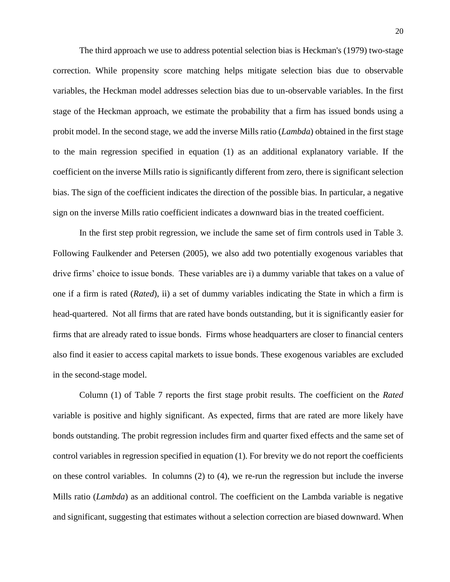The third approach we use to address potential selection bias is Heckman's (1979) two-stage correction. While propensity score matching helps mitigate selection bias due to observable variables, the Heckman model addresses selection bias due to un-observable variables. In the first stage of the Heckman approach, we estimate the probability that a firm has issued bonds using a probit model. In the second stage, we add the inverse Mills ratio (*Lambda*) obtained in the first stage to the main regression specified in equation (1) as an additional explanatory variable. If the coefficient on the inverse Mills ratio is significantly different from zero, there is significant selection bias. The sign of the coefficient indicates the direction of the possible bias. In particular, a negative sign on the inverse Mills ratio coefficient indicates a downward bias in the treated coefficient.

In the first step probit regression, we include the same set of firm controls used in Table 3. Following Faulkender and Petersen (2005), we also add two potentially exogenous variables that drive firms' choice to issue bonds. These variables are i) a dummy variable that takes on a value of one if a firm is rated (*Rated*), ii) a set of dummy variables indicating the State in which a firm is head-quartered. Not all firms that are rated have bonds outstanding, but it is significantly easier for firms that are already rated to issue bonds. Firms whose headquarters are closer to financial centers also find it easier to access capital markets to issue bonds. These exogenous variables are excluded in the second-stage model.

Column (1) of Table 7 reports the first stage probit results. The coefficient on the *Rated* variable is positive and highly significant. As expected, firms that are rated are more likely have bonds outstanding. The probit regression includes firm and quarter fixed effects and the same set of control variables in regression specified in equation (1). For brevity we do not report the coefficients on these control variables. In columns  $(2)$  to  $(4)$ , we re-run the regression but include the inverse Mills ratio (*Lambda*) as an additional control. The coefficient on the Lambda variable is negative and significant, suggesting that estimates without a selection correction are biased downward. When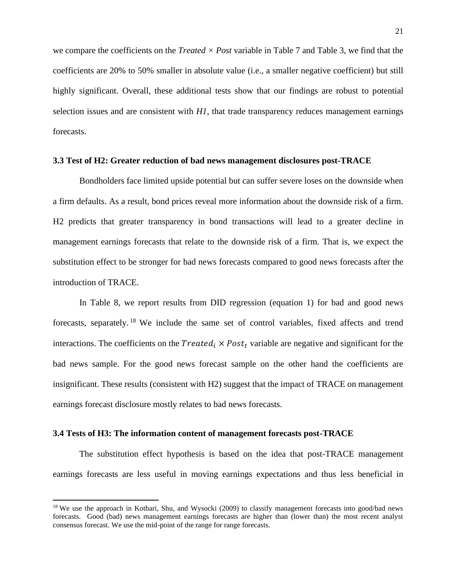we compare the coefficients on the *Treated × Post* variable in Table 7 and Table 3, we find that the coefficients are 20% to 50% smaller in absolute value (i.e., a smaller negative coefficient) but still highly significant. Overall, these additional tests show that our findings are robust to potential selection issues and are consistent with *H1*, that trade transparency reduces management earnings forecasts.

#### **3.3 Test of H2: Greater reduction of bad news management disclosures post-TRACE**

Bondholders face limited upside potential but can suffer severe loses on the downside when a firm defaults. As a result, bond prices reveal more information about the downside risk of a firm. H2 predicts that greater transparency in bond transactions will lead to a greater decline in management earnings forecasts that relate to the downside risk of a firm. That is, we expect the substitution effect to be stronger for bad news forecasts compared to good news forecasts after the introduction of TRACE.

In Table 8, we report results from DID regression (equation 1) for bad and good news forecasts, separately.<sup>18</sup> We include the same set of control variables, fixed affects and trend interactions. The coefficients on the *Treated*  $\times$  *Post*, variable are negative and significant for the bad news sample. For the good news forecast sample on the other hand the coefficients are insignificant. These results (consistent with H2) suggest that the impact of TRACE on management earnings forecast disclosure mostly relates to bad news forecasts.

#### **3.4 Tests of H3: The information content of management forecasts post-TRACE**

The substitution effect hypothesis is based on the idea that post-TRACE management earnings forecasts are less useful in moving earnings expectations and thus less beneficial in

<sup>&</sup>lt;sup>18</sup> We use the approach in Kothari, Shu, and Wysocki (2009) to classify management forecasts into good/bad news forecasts. Good (bad) news management earnings forecasts are higher than (lower than) the most recent analyst consensus forecast. We use the mid-point of the range for range forecasts.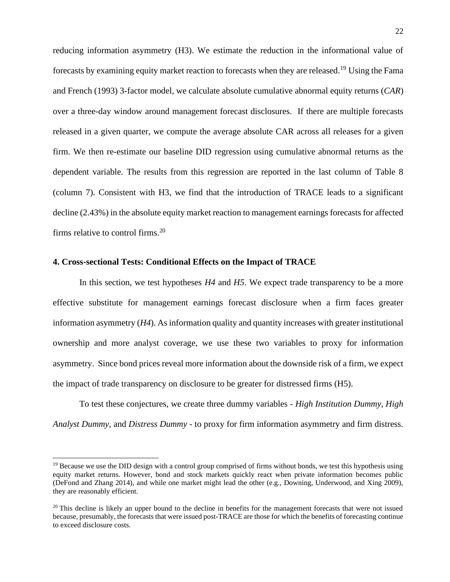reducing information asymmetry (H3). We estimate the reduction in the informational value of forecasts by examining equity market reaction to forecasts when they are released.<sup>19</sup> Using the Fama and French (1993) 3-factor model, we calculate absolute cumulative abnormal equity returns (*CAR*) over a three-day window around management forecast disclosures. If there are multiple forecasts released in a given quarter, we compute the average absolute CAR across all releases for a given firm. We then re-estimate our baseline DID regression using cumulative abnormal returns as the dependent variable. The results from this regression are reported in the last column of Table 8 (column 7). Consistent with H3, we find that the introduction of TRACE leads to a significant decline (2.43%) in the absolute equity market reaction to management earnings forecasts for affected firms relative to control firms. $20$ 

#### **4. Cross-sectional Tests: Conditional Effects on the Impact of TRACE**

In this section, we test hypotheses *H4* and *H5*. We expect trade transparency to be a more effective substitute for management earnings forecast disclosure when a firm faces greater information asymmetry (*H4*). As information quality and quantity increases with greater institutional ownership and more analyst coverage, we use these two variables to proxy for information asymmetry. Since bond prices reveal more information about the downside risk of a firm, we expect the impact of trade transparency on disclosure to be greater for distressed firms (H5).

To test these conjectures, we create three dummy variables - *High Institution Dummy, High Analyst Dummy*, and *Distress Dummy* - to proxy for firm information asymmetry and firm distress.

 $19$  Because we use the DID design with a control group comprised of firms without bonds, we test this hypothesis using equity market returns. However, bond and stock markets quickly react when private information becomes public (DeFond and Zhang 2014), and while one market might lead the other (e.g., Downing, Underwood, and Xing 2009), they are reasonably efficient.

 $20$  This decline is likely an upper bound to the decline in benefits for the management forecasts that were not issued because, presumably, the forecasts that were issued post-TRACE are those for which the benefits of forecasting continue to exceed disclosure costs.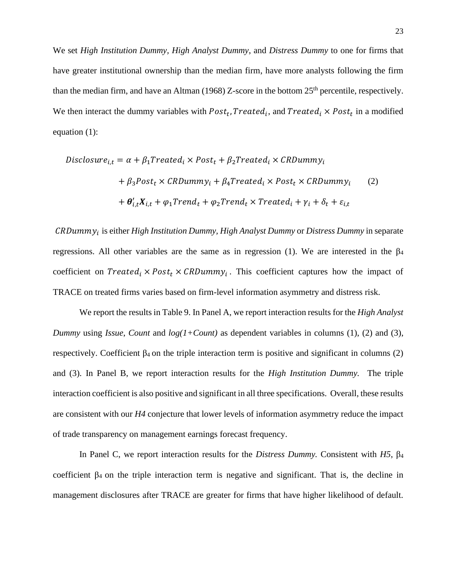We set *High Institution Dummy, High Analyst Dummy*, and *Distress Dummy* to one for firms that have greater institutional ownership than the median firm, have more analysts following the firm than the median firm, and have an Altman (1968) Z-score in the bottom  $25<sup>th</sup>$  percentile, respectively. We then interact the dummy variables with  $Post_t$ ,  $Treated_i$ , and  $Treated_i \times Post_t$  in a modified equation (1):

$$
Disclosure_{i,t} = \alpha + \beta_1 Treated_i \times Post_t + \beta_2 Treated_i \times CRDummy_i
$$
  
+  $\beta_3 Post_t \times CRDummy_i + \beta_4 Treated_i \times Post_t \times CRDummy_i$  (2)  
+  $\theta'_{i,t}X_{i,t} + \varphi_1 Trend_t + \varphi_2 Trend_t \times Treated_i + \gamma_i + \delta_t + \varepsilon_{i,t}$ 

 $CRDummy<sub>i</sub>$  is either *High Institution Dummy, High Analyst Dummy* or *Distress Dummy* in separate regressions. All other variables are the same as in regression (1). We are interested in the  $\beta_4$ coefficient on  $Treated_i \times Post_t \times CRDummy_i$ . This coefficient captures how the impact of TRACE on treated firms varies based on firm-level information asymmetry and distress risk.

We report the results in Table 9. In Panel A, we report interaction results for the *High Analyst Dummy* using *Issue*, *Count* and *log(1+Count)* as dependent variables in columns (1), (2) and (3), respectively. Coefficient  $β_4$  on the triple interaction term is positive and significant in columns (2) and (3). In Panel B, we report interaction results for the *High Institution Dummy.* The triple interaction coefficient is also positive and significant in all three specifications. Overall, these results are consistent with our *H4* conjecture that lower levels of information asymmetry reduce the impact of trade transparency on management earnings forecast frequency.

In Panel C, we report interaction results for the *Distress Dummy.* Consistent with *H5*, β<sup>4</sup> coefficient  $\beta_4$  on the triple interaction term is negative and significant. That is, the decline in management disclosures after TRACE are greater for firms that have higher likelihood of default.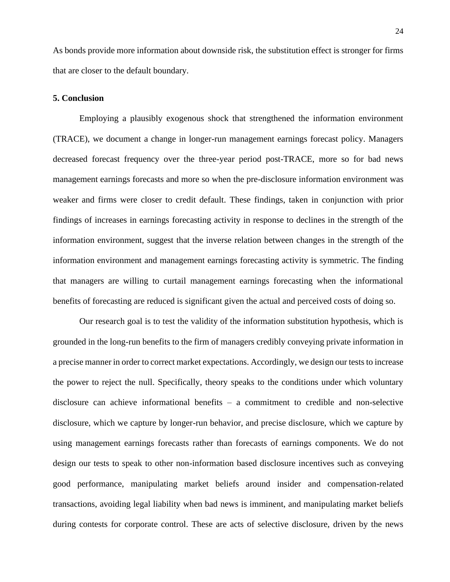As bonds provide more information about downside risk, the substitution effect is stronger for firms that are closer to the default boundary.

#### **5. Conclusion**

Employing a plausibly exogenous shock that strengthened the information environment (TRACE), we document a change in longer-run management earnings forecast policy. Managers decreased forecast frequency over the three-year period post-TRACE, more so for bad news management earnings forecasts and more so when the pre-disclosure information environment was weaker and firms were closer to credit default. These findings, taken in conjunction with prior findings of increases in earnings forecasting activity in response to declines in the strength of the information environment, suggest that the inverse relation between changes in the strength of the information environment and management earnings forecasting activity is symmetric. The finding that managers are willing to curtail management earnings forecasting when the informational benefits of forecasting are reduced is significant given the actual and perceived costs of doing so.

Our research goal is to test the validity of the information substitution hypothesis, which is grounded in the long-run benefits to the firm of managers credibly conveying private information in a precise manner in order to correct market expectations. Accordingly, we design our tests to increase the power to reject the null. Specifically, theory speaks to the conditions under which voluntary disclosure can achieve informational benefits – a commitment to credible and non-selective disclosure, which we capture by longer-run behavior, and precise disclosure, which we capture by using management earnings forecasts rather than forecasts of earnings components. We do not design our tests to speak to other non-information based disclosure incentives such as conveying good performance, manipulating market beliefs around insider and compensation-related transactions, avoiding legal liability when bad news is imminent, and manipulating market beliefs during contests for corporate control. These are acts of selective disclosure, driven by the news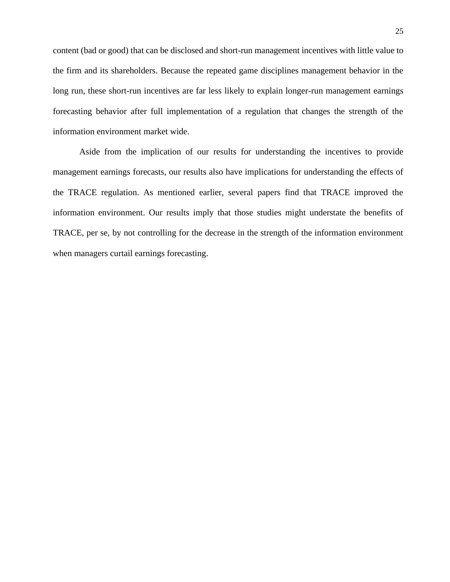content (bad or good) that can be disclosed and short-run management incentives with little value to the firm and its shareholders. Because the repeated game disciplines management behavior in the long run, these short-run incentives are far less likely to explain longer-run management earnings forecasting behavior after full implementation of a regulation that changes the strength of the information environment market wide.

Aside from the implication of our results for understanding the incentives to provide management earnings forecasts, our results also have implications for understanding the effects of the TRACE regulation. As mentioned earlier, several papers find that TRACE improved the information environment. Our results imply that those studies might understate the benefits of TRACE, per se, by not controlling for the decrease in the strength of the information environment when managers curtail earnings forecasting.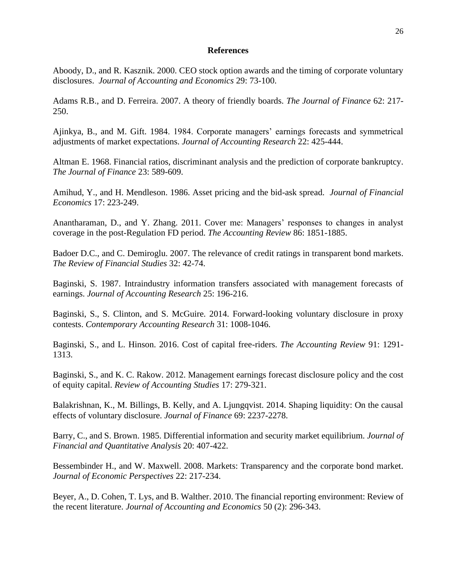#### **References**

Aboody, D., and R. Kasznik. 2000. CEO stock option awards and the timing of corporate voluntary disclosures. *Journal of Accounting and Economics* 29: 73-100.

Adams R.B., and D. Ferreira. 2007. A theory of friendly boards. *The Journal of Finance* 62: 217- 250.

Ajinkya, B., and M. Gift. 1984. 1984. Corporate managers' earnings forecasts and symmetrical adjustments of market expectations. *Journal of Accounting Research* 22: 425-444.

Altman E. 1968. Financial ratios, discriminant analysis and the prediction of corporate bankruptcy. *The Journal of Finance* 23: 589-609.

Amihud, Y., and H. Mendleson. 1986. Asset pricing and the bid-ask spread. *Journal of Financial Economics* 17: 223-249.

Anantharaman, D., and Y. Zhang. 2011. Cover me: Managers' responses to changes in analyst coverage in the post-Regulation FD period. *The Accounting Review* 86: 1851-1885.

Badoer D.C., and C. Demiroglu. 2007. The relevance of credit ratings in transparent bond markets. *The Review of Financial Studies* 32: 42-74.

Baginski, S. 1987. Intraindustry information transfers associated with management forecasts of earnings. *Journal of Accounting Research* 25: 196-216.

Baginski, S., S. Clinton, and S. McGuire. 2014. Forward-looking voluntary disclosure in proxy contests. *Contemporary Accounting Research* 31: 1008-1046.

Baginski, S., and L. Hinson. 2016. Cost of capital free-riders. *The Accounting Review* 91: 1291- 1313.

Baginski, S., and K. C. Rakow. 2012. Management earnings forecast disclosure policy and the cost of equity capital. *Review of Accounting Studies* 17: 279-321.

Balakrishnan, K., M. Billings, B. Kelly, and A. Ljungqvist. 2014. Shaping liquidity: On the causal effects of voluntary disclosure. *Journal of Finance* 69: 2237-2278.

Barry, C., and S. Brown. 1985. Differential information and security market equilibrium. *Journal of Financial and Quantitative Analysis* 20: 407-422.

Bessembinder H., and W. Maxwell. 2008. Markets: Transparency and the corporate bond market. *Journal of Economic Perspectives* 22: 217-234.

Beyer, A., D. Cohen, T. Lys, and B. Walther. 2010. The financial reporting environment: Review of the recent literature. *Journal of Accounting and Economics* 50 (2): 296-343.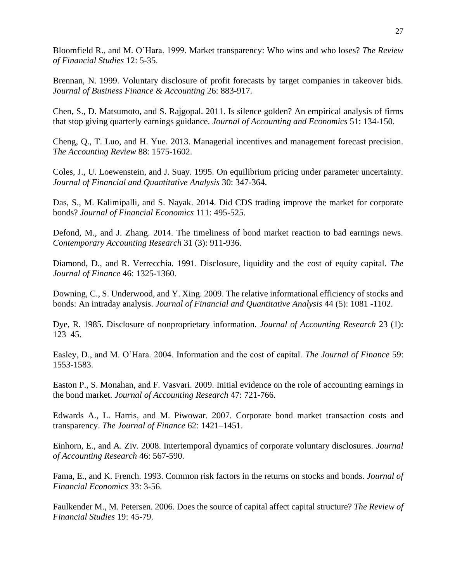Bloomfield R., and M. O'Hara. 1999. Market transparency: Who wins and who loses? *The Review of Financial Studies* 12: 5-35.

Brennan, N. 1999. Voluntary disclosure of profit forecasts by target companies in takeover bids. *Journal of Business Finance & Accounting* 26: 883-917.

Chen, S., D. Matsumoto, and S. Rajgopal. 2011. Is silence golden? An empirical analysis of firms that stop giving quarterly earnings guidance. *Journal of Accounting and Economics* 51: 134-150.

Cheng, Q., T. Luo, and H. Yue. 2013. Managerial incentives and management forecast precision. *The Accounting Review* 88: 1575-1602.

Coles, J., U. Loewenstein, and J. Suay. 1995. On equilibrium pricing under parameter uncertainty. *Journal of Financial and Quantitative Analysis* 30: 347-364.

Das, S., M. Kalimipalli, and S. Nayak. 2014. Did CDS trading improve the market for corporate bonds? *Journal of Financial Economics* 111: 495-525.

Defond, M., and J. Zhang. 2014. The timeliness of bond market reaction to bad earnings news. *Contemporary Accounting Research* 31 (3): 911-936.

Diamond, D., and R. Verrecchia. 1991. Disclosure, liquidity and the cost of equity capital. *The Journal of Finance* 46: 1325-1360.

Downing, C., S. Underwood, and Y. Xing. 2009. The relative informational efficiency of stocks and bonds: An intraday analysis. *Journal of Financial and Quantitative Analysis* 44 (5): 1081 -1102.

Dye, R. 1985. Disclosure of nonproprietary information. *Journal of Accounting Research* 23 (1): 123–45.

Easley, D., and M. O'Hara. 2004. Information and the cost of capital. *The Journal of Finance* 59: 1553-1583.

Easton P., S. Monahan, and F. Vasvari. 2009. Initial evidence on the role of accounting earnings in the bond market. *Journal of Accounting Research* 47: 721-766.

Edwards A., L. Harris, and M. Piwowar. 2007. Corporate bond market transaction costs and transparency. *The Journal of Finance* 62: 1421–1451.

Einhorn, E., and A. Ziv. 2008. Intertemporal dynamics of corporate voluntary disclosures. *Journal of Accounting Research* 46: 567-590.

Fama, E., and K. French. 1993. Common risk factors in the returns on stocks and bonds. *Journal of Financial Economics* 33: 3-56.

Faulkender M., M. Petersen. 2006. Does the source of capital affect capital structure? *The Review of Financial Studies* 19: 45-79.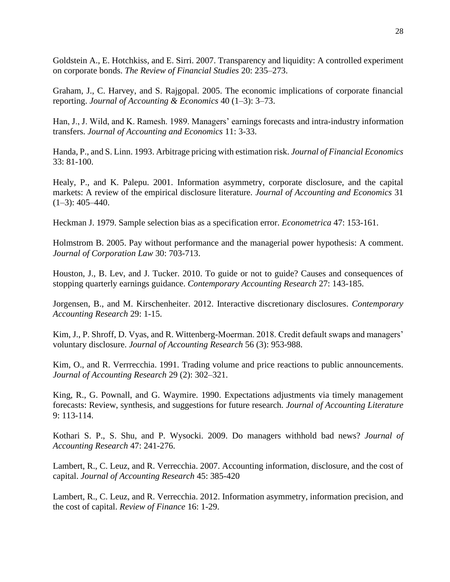Goldstein A., E. Hotchkiss, and E. Sirri. 2007. Transparency and liquidity: A controlled experiment on corporate bonds. *The Review of Financial Studies* 20: 235–273.

Graham, J., C. Harvey, and S. Rajgopal. 2005. The economic implications of corporate financial reporting. *Journal of Accounting & Economics* 40 (1–3): 3–73.

Han, J., J. Wild, and K. Ramesh. 1989. Managers' earnings forecasts and intra-industry information transfers. *Journal of Accounting and Economics* 11: 3-33.

Handa, P., and S. Linn. 1993. Arbitrage pricing with estimation risk. *Journal of Financial Economics*  33: 81-100.

Healy, P., and K. Palepu. 2001. Information asymmetry, corporate disclosure, and the capital markets: A review of the empirical disclosure literature. *Journal of Accounting and Economics* 31  $(1-3)$ : 405-440.

Heckman J. 1979. Sample selection bias as a specification error. *Econometrica* 47: 153-161.

Holmstrom B. 2005. Pay without performance and the managerial power hypothesis: A comment. *Journal of Corporation Law* 30: 703-713.

Houston, J., B. Lev, and J. Tucker. 2010. To guide or not to guide? Causes and consequences of stopping quarterly earnings guidance. *Contemporary Accounting Research* 27: 143-185.

Jorgensen, B., and M. Kirschenheiter. 2012. Interactive discretionary disclosures. *Contemporary Accounting Research* 29: 1-15.

Kim, J., P. Shroff, D. Vyas, and R. Wittenberg-Moerman. 2018. Credit default swaps and managers' voluntary disclosure. *Journal of Accounting Research* 56 (3): 953-988.

Kim, O., and R. Verrrecchia. 1991. Trading volume and price reactions to public announcements. *Journal of Accounting Research* 29 (2): 302–321.

King, R., G. Pownall, and G. Waymire. 1990. Expectations adjustments via timely management forecasts: Review, synthesis, and suggestions for future research. *Journal of Accounting Literature* 9: 113-114.

Kothari S. P., S. Shu, and P. Wysocki. 2009. Do managers withhold bad news? *Journal of Accounting Research* 47: 241-276.

Lambert, R., C. Leuz, and R. Verrecchia. 2007. Accounting information, disclosure, and the cost of capital. *Journal of Accounting Research* 45: 385-420

Lambert, R., C. Leuz, and R. Verrecchia. 2012. Information asymmetry, information precision, and the cost of capital. *Review of Finance* 16: 1-29.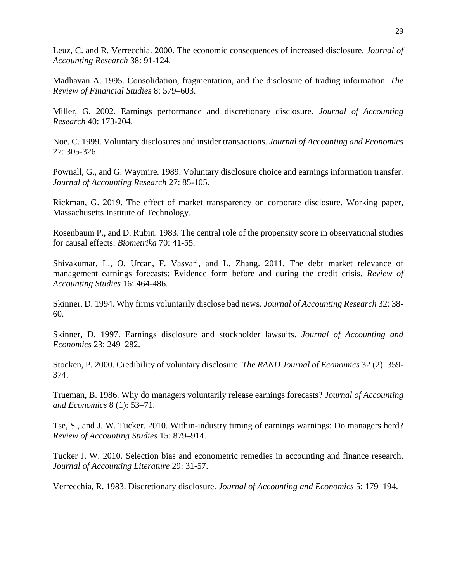Leuz, C. and R. Verrecchia. 2000. The economic consequences of increased disclosure. *Journal of Accounting Research* 38: 91-124.

Madhavan A. 1995. Consolidation, fragmentation, and the disclosure of trading information. *The Review of Financial Studies* 8: 579–603.

Miller, G. 2002. Earnings performance and discretionary disclosure. *Journal of Accounting Research* 40: 173-204.

Noe, C. 1999. Voluntary disclosures and insider transactions. *Journal of Accounting and Economics* 27: 305-326.

Pownall, G., and G. Waymire. 1989. Voluntary disclosure choice and earnings information transfer. *Journal of Accounting Research* 27: 85-105.

Rickman, G. 2019. The effect of market transparency on corporate disclosure. Working paper, Massachusetts Institute of Technology.

Rosenbaum P., and D. Rubin. 1983. The central role of the propensity score in observational studies for causal effects. *Biometrika* 70: 41-55.

Shivakumar, L., O. Urcan, F. Vasvari, and L. Zhang. 2011. The debt market relevance of management earnings forecasts: Evidence form before and during the credit crisis. *Review of Accounting Studies* 16: 464-486.

Skinner, D. 1994. Why firms voluntarily disclose bad news. *Journal of Accounting Research* 32: 38- 60.

Skinner, D. 1997. Earnings disclosure and stockholder lawsuits. *Journal of Accounting and Economics* 23: 249–282.

Stocken, P. 2000. Credibility of voluntary disclosure. *The RAND Journal of Economics* 32 (2): 359- 374.

Trueman, B. 1986. Why do managers voluntarily release earnings forecasts? *Journal of Accounting and Economics* 8 (1): 53–71.

Tse, S., and J. W. Tucker. 2010. Within-industry timing of earnings warnings: Do managers herd? *Review of Accounting Studies* 15: 879–914.

Tucker J. W. 2010. Selection bias and econometric remedies in accounting and finance research. *Journal of Accounting Literature* 29: 31-57.

Verrecchia, R. 1983. Discretionary disclosure. *Journal of Accounting and Economics* 5: 179–194.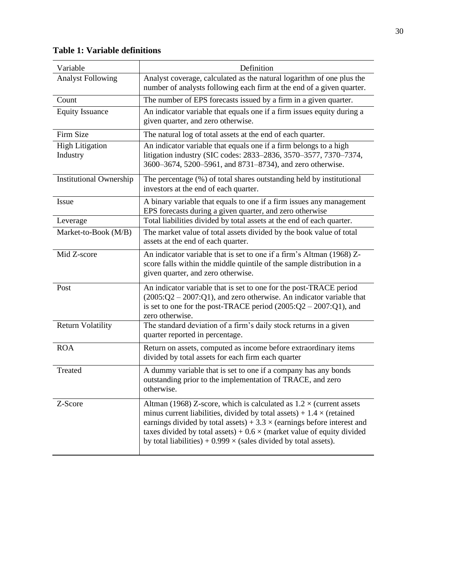| Variable                           | Definition                                                                                                                                                                                                                                                                                                                                                                                               |
|------------------------------------|----------------------------------------------------------------------------------------------------------------------------------------------------------------------------------------------------------------------------------------------------------------------------------------------------------------------------------------------------------------------------------------------------------|
| <b>Analyst Following</b>           | Analyst coverage, calculated as the natural logarithm of one plus the<br>number of analysts following each firm at the end of a given quarter.                                                                                                                                                                                                                                                           |
| Count                              | The number of EPS forecasts issued by a firm in a given quarter.                                                                                                                                                                                                                                                                                                                                         |
| <b>Equity Issuance</b>             | An indicator variable that equals one if a firm issues equity during a<br>given quarter, and zero otherwise.                                                                                                                                                                                                                                                                                             |
| Firm Size                          | The natural log of total assets at the end of each quarter.                                                                                                                                                                                                                                                                                                                                              |
| <b>High Litigation</b><br>Industry | An indicator variable that equals one if a firm belongs to a high<br>litigation industry (SIC codes: 2833-2836, 3570-3577, 7370-7374,<br>3600-3674, 5200-5961, and 8731-8734), and zero otherwise.                                                                                                                                                                                                       |
| <b>Institutional Ownership</b>     | The percentage (%) of total shares outstanding held by institutional<br>investors at the end of each quarter.                                                                                                                                                                                                                                                                                            |
| Issue                              | A binary variable that equals to one if a firm issues any management<br>EPS forecasts during a given quarter, and zero otherwise                                                                                                                                                                                                                                                                         |
| Leverage                           | Total liabilities divided by total assets at the end of each quarter.                                                                                                                                                                                                                                                                                                                                    |
| Market-to-Book (M/B)               | The market value of total assets divided by the book value of total<br>assets at the end of each quarter.                                                                                                                                                                                                                                                                                                |
| Mid Z-score                        | An indicator variable that is set to one if a firm's Altman (1968) Z-<br>score falls within the middle quintile of the sample distribution in a<br>given quarter, and zero otherwise.                                                                                                                                                                                                                    |
| Post                               | An indicator variable that is set to one for the post-TRACE period<br>$(2005:Q2 - 2007:Q1)$ , and zero otherwise. An indicator variable that<br>is set to one for the post-TRACE period $(2005:Q2 - 2007:Q1)$ , and<br>zero otherwise.                                                                                                                                                                   |
| <b>Return Volatility</b>           | The standard deviation of a firm's daily stock returns in a given<br>quarter reported in percentage.                                                                                                                                                                                                                                                                                                     |
| <b>ROA</b>                         | Return on assets, computed as income before extraordinary items<br>divided by total assets for each firm each quarter                                                                                                                                                                                                                                                                                    |
| Treated                            | A dummy variable that is set to one if a company has any bonds<br>outstanding prior to the implementation of TRACE, and zero<br>otherwise.                                                                                                                                                                                                                                                               |
| Z-Score                            | Altman (1968) Z-score, which is calculated as $1.2 \times$ (current assets<br>minus current liabilities, divided by total assets) + $1.4 \times$ (retained<br>earnings divided by total assets) + $3.3 \times$ (earnings before interest and<br>taxes divided by total assets) + $0.6 \times$ (market value of equity divided<br>by total liabilities) + $0.999 \times$ (sales divided by total assets). |

## **Table 1: Variable definitions**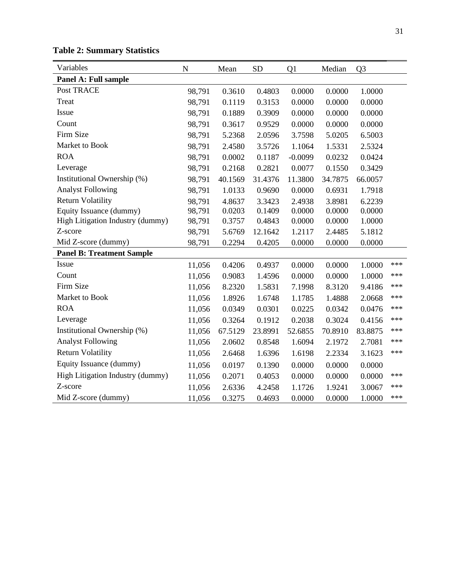| Variables                        | $\mathbf N$ | Mean    | <b>SD</b> | Q1        | Median  | Q <sub>3</sub> |     |
|----------------------------------|-------------|---------|-----------|-----------|---------|----------------|-----|
| Panel A: Full sample             |             |         |           |           |         |                |     |
| Post TRACE                       | 98,791      | 0.3610  | 0.4803    | 0.0000    | 0.0000  | 1.0000         |     |
| Treat                            | 98,791      | 0.1119  | 0.3153    | 0.0000    | 0.0000  | 0.0000         |     |
| Issue                            | 98,791      | 0.1889  | 0.3909    | 0.0000    | 0.0000  | 0.0000         |     |
| Count                            | 98,791      | 0.3617  | 0.9529    | 0.0000    | 0.0000  | 0.0000         |     |
| Firm Size                        | 98,791      | 5.2368  | 2.0596    | 3.7598    | 5.0205  | 6.5003         |     |
| Market to Book                   | 98,791      | 2.4580  | 3.5726    | 1.1064    | 1.5331  | 2.5324         |     |
| <b>ROA</b>                       | 98,791      | 0.0002  | 0.1187    | $-0.0099$ | 0.0232  | 0.0424         |     |
| Leverage                         | 98,791      | 0.2168  | 0.2821    | 0.0077    | 0.1550  | 0.3429         |     |
| Institutional Ownership (%)      | 98,791      | 40.1569 | 31.4376   | 11.3800   | 34.7875 | 66.0057        |     |
| <b>Analyst Following</b>         | 98,791      | 1.0133  | 0.9690    | 0.0000    | 0.6931  | 1.7918         |     |
| <b>Return Volatility</b>         | 98,791      | 4.8637  | 3.3423    | 2.4938    | 3.8981  | 6.2239         |     |
| Equity Issuance (dummy)          | 98,791      | 0.0203  | 0.1409    | 0.0000    | 0.0000  | 0.0000         |     |
| High Litigation Industry (dummy) | 98,791      | 0.3757  | 0.4843    | 0.0000    | 0.0000  | 1.0000         |     |
| Z-score                          | 98,791      | 5.6769  | 12.1642   | 1.2117    | 2.4485  | 5.1812         |     |
| Mid Z-score (dummy)              | 98,791      | 0.2294  | 0.4205    | 0.0000    | 0.0000  | 0.0000         |     |
| <b>Panel B: Treatment Sample</b> |             |         |           |           |         |                |     |
| Issue                            | 11,056      | 0.4206  | 0.4937    | 0.0000    | 0.0000  | 1.0000         | *** |
| Count                            | 11,056      | 0.9083  | 1.4596    | 0.0000    | 0.0000  | 1.0000         | *** |
| Firm Size                        | 11,056      | 8.2320  | 1.5831    | 7.1998    | 8.3120  | 9.4186         | *** |
| Market to Book                   | 11,056      | 1.8926  | 1.6748    | 1.1785    | 1.4888  | 2.0668         | *** |
| <b>ROA</b>                       | 11,056      | 0.0349  | 0.0301    | 0.0225    | 0.0342  | 0.0476         | *** |
| Leverage                         | 11,056      | 0.3264  | 0.1912    | 0.2038    | 0.3024  | 0.4156         | *** |
| Institutional Ownership (%)      | 11,056      | 67.5129 | 23.8991   | 52.6855   | 70.8910 | 83.8875        | *** |
| <b>Analyst Following</b>         | 11,056      | 2.0602  | 0.8548    | 1.6094    | 2.1972  | 2.7081         | *** |
| <b>Return Volatility</b>         | 11,056      | 2.6468  | 1.6396    | 1.6198    | 2.2334  | 3.1623         | *** |
| Equity Issuance (dummy)          | 11,056      | 0.0197  | 0.1390    | 0.0000    | 0.0000  | 0.0000         |     |
| High Litigation Industry (dummy) | 11,056      | 0.2071  | 0.4053    | 0.0000    | 0.0000  | 0.0000         | *** |
| Z-score                          | 11,056      | 2.6336  | 4.2458    | 1.1726    | 1.9241  | 3.0067         | *** |
| Mid Z-score (dummy)              | 11,056      | 0.3275  | 0.4693    | 0.0000    | 0.0000  | 1.0000         | *** |

# **Table 2: Summary Statistics**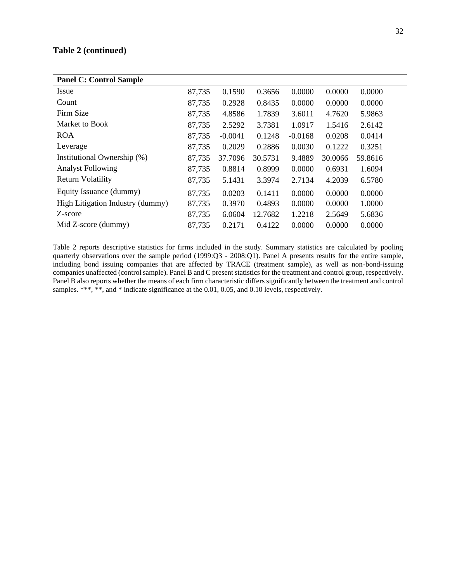## **Table 2 (continued)**

| <b>Panel C: Control Sample</b>   |        |           |         |           |         |         |  |  |
|----------------------------------|--------|-----------|---------|-----------|---------|---------|--|--|
| Issue                            | 87,735 | 0.1590    | 0.3656  | 0.0000    | 0.0000  | 0.0000  |  |  |
| Count                            | 87,735 | 0.2928    | 0.8435  | 0.0000    | 0.0000  | 0.0000  |  |  |
| Firm Size                        | 87,735 | 4.8586    | 1.7839  | 3.6011    | 4.7620  | 5.9863  |  |  |
| Market to Book                   | 87,735 | 2.5292    | 3.7381  | 1.0917    | 1.5416  | 2.6142  |  |  |
| <b>ROA</b>                       | 87,735 | $-0.0041$ | 0.1248  | $-0.0168$ | 0.0208  | 0.0414  |  |  |
| Leverage                         | 87,735 | 0.2029    | 0.2886  | 0.0030    | 0.1222  | 0.3251  |  |  |
| Institutional Ownership (%)      | 87,735 | 37.7096   | 30.5731 | 9.4889    | 30.0066 | 59.8616 |  |  |
| <b>Analyst Following</b>         | 87,735 | 0.8814    | 0.8999  | 0.0000    | 0.6931  | 1.6094  |  |  |
| <b>Return Volatility</b>         | 87,735 | 5.1431    | 3.3974  | 2.7134    | 4.2039  | 6.5780  |  |  |
| Equity Issuance (dummy)          | 87,735 | 0.0203    | 0.1411  | 0.0000    | 0.0000  | 0.0000  |  |  |
| High Litigation Industry (dummy) | 87,735 | 0.3970    | 0.4893  | 0.0000    | 0.0000  | 1.0000  |  |  |
| Z-score                          | 87,735 | 6.0604    | 12.7682 | 1.2218    | 2.5649  | 5.6836  |  |  |
| Mid Z-score (dummy)              | 87,735 | 0.2171    | 0.4122  | 0.0000    | 0.0000  | 0.0000  |  |  |

Table 2 reports descriptive statistics for firms included in the study. Summary statistics are calculated by pooling quarterly observations over the sample period (1999:Q3 - 2008:Q1). Panel A presents results for the entire sample, including bond issuing companies that are affected by TRACE (treatment sample), as well as non-bond-issuing companies unaffected (control sample). Panel B and C present statistics for the treatment and control group, respectively. Panel B also reports whether the means of each firm characteristic differs significantly between the treatment and control samples. \*\*\*, \*\*, and \* indicate significance at the 0.01, 0.05, and 0.10 levels, respectively.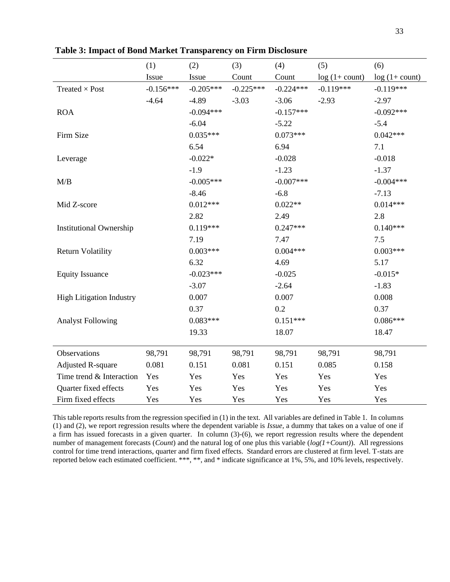|                                 | (1)         | (2)         | (3)         | (4)         | (5)              | (6)              |
|---------------------------------|-------------|-------------|-------------|-------------|------------------|------------------|
|                                 | Issue       | Issue       | Count       | Count       | $log(1 + count)$ | $log(1 + count)$ |
| Treated $\times$ Post           | $-0.156***$ | $-0.205***$ | $-0.225***$ | $-0.224***$ | $-0.119***$      | $-0.119***$      |
|                                 | $-4.64$     | $-4.89$     | $-3.03$     | $-3.06$     | $-2.93$          | $-2.97$          |
| <b>ROA</b>                      |             | $-0.094***$ |             | $-0.157***$ |                  | $-0.092***$      |
|                                 |             | $-6.04$     |             | $-5.22$     |                  | $-5.4$           |
| Firm Size                       |             | $0.035***$  |             | $0.073***$  |                  | $0.042***$       |
|                                 |             | 6.54        |             | 6.94        |                  | 7.1              |
| Leverage                        |             | $-0.022*$   |             | $-0.028$    |                  | $-0.018$         |
|                                 |             | $-1.9$      |             | $-1.23$     |                  | $-1.37$          |
| M/B                             |             | $-0.005***$ |             | $-0.007***$ |                  | $-0.004***$      |
|                                 |             | $-8.46$     |             | $-6.8$      |                  | $-7.13$          |
| Mid Z-score                     |             | $0.012***$  |             | $0.022**$   |                  | $0.014***$       |
|                                 |             | 2.82        |             | 2.49        |                  | 2.8              |
| <b>Institutional Ownership</b>  |             | $0.119***$  |             | $0.247***$  |                  | $0.140***$       |
|                                 |             | 7.19        |             | 7.47        |                  | 7.5              |
| <b>Return Volatility</b>        |             | $0.003***$  |             | $0.004***$  |                  | $0.003***$       |
|                                 |             | 6.32        |             | 4.69        |                  | 5.17             |
| <b>Equity Issuance</b>          |             | $-0.023***$ |             | $-0.025$    |                  | $-0.015*$        |
|                                 |             | $-3.07$     |             | $-2.64$     |                  | $-1.83$          |
| <b>High Litigation Industry</b> |             | 0.007       |             | 0.007       |                  | 0.008            |
|                                 |             | 0.37        |             | 0.2         |                  | 0.37             |
| <b>Analyst Following</b>        |             | $0.083***$  |             | $0.151***$  |                  | $0.086***$       |
|                                 |             | 19.33       |             | 18.07       |                  | 18.47            |
| Observations                    | 98,791      | 98,791      | 98,791      | 98,791      | 98,791           | 98,791           |
| <b>Adjusted R-square</b>        | 0.081       | 0.151       | 0.081       | 0.151       | 0.085            | 0.158            |
| Time trend & Interaction        | Yes         | Yes         | Yes         | Yes         | Yes              | Yes              |
| Quarter fixed effects           | Yes         | Yes         | Yes         | Yes         | Yes              | Yes              |
| Firm fixed effects              | Yes         | Yes         | Yes         | Yes         | Yes              | Yes              |

**Table 3: Impact of Bond Market Transparency on Firm Disclosure**

This table reports results from the regression specified in (1) in the text. All variables are defined in Table 1. In columns (1) and (2), we report regression results where the dependent variable is *Issue,* a dummy that takes on a value of one if a firm has issued forecasts in a given quarter.In column (3)-(6), we report regression results where the dependent number of management forecasts (*Count*) and the natural log of one plus this variable (*log(1+Count)*). All regressions control for time trend interactions, quarter and firm fixed effects. Standard errors are clustered at firm level. T-stats are reported below each estimated coefficient. \*\*\*, \*\*, and \* indicate significance at 1%, 5%, and 10% levels, respectively.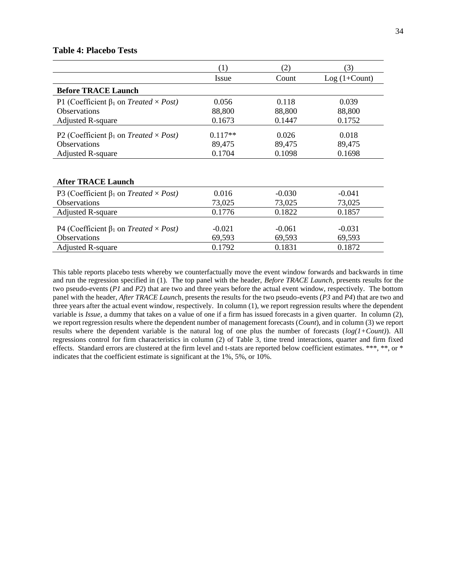#### **Table 4: Placebo Tests**

|                                                                    | (1)       | (2)      | (3)            |
|--------------------------------------------------------------------|-----------|----------|----------------|
|                                                                    | Issue     | Count    | $Log(1+Count)$ |
| <b>Before TRACE Launch</b>                                         |           |          |                |
| P1 (Coefficient $\beta_1$ on <i>Treated</i> $\times$ <i>Post</i> ) | 0.056     | 0.118    | 0.039          |
| <b>Observations</b>                                                | 88,800    | 88,800   | 88,800         |
| <b>Adjusted R-square</b>                                           | 0.1673    | 0.1447   | 0.1752         |
| P2 (Coefficient $\beta_1$ on <i>Treated</i> × <i>Post</i> )        | $0.117**$ | 0.026    | 0.018          |
| Observations                                                       | 89,475    | 89,475   | 89,475         |
| <b>Adjusted R-square</b>                                           | 0.1704    | 0.1098   | 0.1698         |
|                                                                    |           |          |                |
|                                                                    |           |          |                |
| <b>After TRACE Launch</b>                                          |           |          |                |
| P3 (Coefficient $\beta_1$ on <i>Treated</i> $\times$ <i>Post</i> ) | 0.016     | $-0.030$ | $-0.041$       |
| Observations                                                       | 73,025    | 73,025   | 73,025         |
| <b>Adjusted R-square</b>                                           | 0.1776    | 0.1822   | 0.1857         |
|                                                                    |           |          |                |
| P4 (Coefficient $\beta_1$ on <i>Treated</i> $\times$ <i>Post</i> ) | $-0.021$  | $-0.061$ | $-0.031$       |
| <b>Observations</b>                                                | 69,593    | 69,593   | 69,593         |
| <b>Adjusted R-square</b>                                           | 0.1792    | 0.1831   | 0.1872         |

This table reports placebo tests whereby we counterfactually move the event window forwards and backwards in time and run the regression specified in (1). The top panel with the header, *Before TRACE Launch*, presents results for the two pseudo-events (*P1* and *P2*) that are two and three years before the actual event window, respectively. The bottom panel with the header, *After TRACE Launc*h, presents the results for the two pseudo-events (*P3* and *P4*) that are two and three years after the actual event window, respectively. In column (1), we report regression results where the dependent variable is *Issue,* a dummy that takes on a value of one if a firm has issued forecasts in a given quarter.In column (2), we report regression results where the dependent number of management forecasts (*Count*), and in column (3) we report results where the dependent variable is the natural log of one plus the number of forecasts  $(log(1+Count))$ . All regressions control for firm characteristics in column (2) of Table 3, time trend interactions, quarter and firm fixed effects. Standard errors are clustered at the firm level and t-stats are reported below coefficient estimates. \*\*\*, \*\*, or \* indicates that the coefficient estimate is significant at the 1%, 5%, or 10%.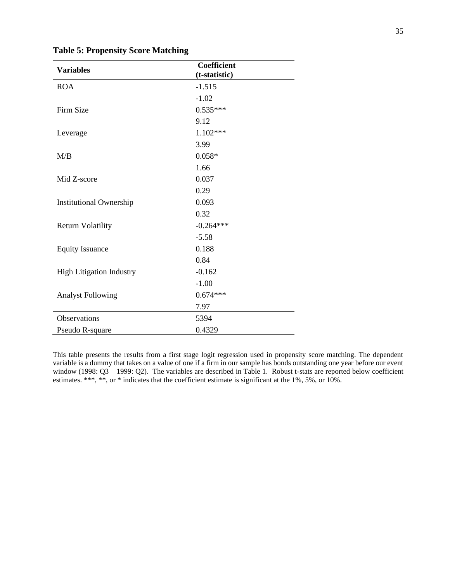| <b>Variables</b>                | Coefficient   |  |
|---------------------------------|---------------|--|
|                                 | (t-statistic) |  |
| <b>ROA</b>                      | $-1.515$      |  |
|                                 | $-1.02$       |  |
| Firm Size                       | $0.535***$    |  |
|                                 | 9.12          |  |
| Leverage                        | $1.102***$    |  |
|                                 | 3.99          |  |
| M/B                             | $0.058*$      |  |
|                                 | 1.66          |  |
| Mid Z-score                     | 0.037         |  |
|                                 | 0.29          |  |
| <b>Institutional Ownership</b>  | 0.093         |  |
|                                 | 0.32          |  |
| <b>Return Volatility</b>        | $-0.264***$   |  |
|                                 | $-5.58$       |  |
| <b>Equity Issuance</b>          | 0.188         |  |
|                                 | 0.84          |  |
| <b>High Litigation Industry</b> | $-0.162$      |  |
|                                 | $-1.00$       |  |
| <b>Analyst Following</b>        | $0.674***$    |  |
|                                 | 7.97          |  |
| Observations                    | 5394          |  |
| Pseudo R-square                 | 0.4329        |  |

**Table 5: Propensity Score Matching**

This table presents the results from a first stage logit regression used in propensity score matching. The dependent variable is a dummy that takes on a value of one if a firm in our sample has bonds outstanding one year before our event window (1998: Q3 – 1999: Q2). The variables are described in Table 1. Robust t-stats are reported below coefficient estimates. \*\*\*, \*\*, or \* indicates that the coefficient estimate is significant at the 1%, 5%, or 10%.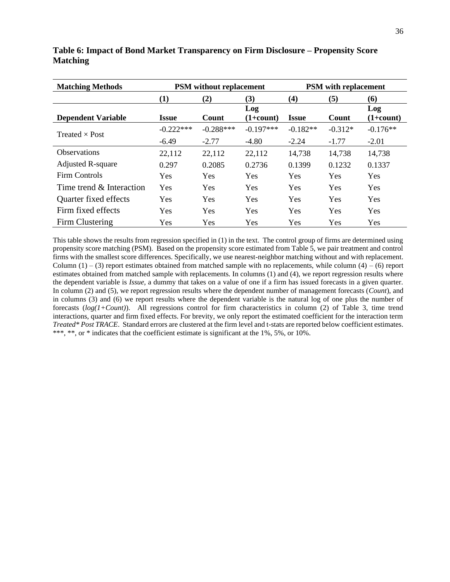| <b>Matching Methods</b>   | <b>PSM</b> without replacement |             |                    | <b>PSM</b> with replacement |           |                    |  |
|---------------------------|--------------------------------|-------------|--------------------|-----------------------------|-----------|--------------------|--|
|                           | $\bf(1)$                       | (2)         | (3)                | (4)                         | (5)       | (6)                |  |
| <b>Dependent Variable</b> | <b>Issue</b>                   | Count       | Log<br>$(1+count)$ | <b>Issue</b>                | Count     | Log<br>$(1+count)$ |  |
| Treated $\times$ Post     | $-0.222***$                    | $-0.288***$ | $-0.197***$        | $-0.182**$                  | $-0.312*$ | $-0.176**$         |  |
|                           | $-6.49$                        | $-2.77$     | $-4.80$            | $-2.24$                     | $-1.77$   | $-2.01$            |  |
| <b>Observations</b>       | 22,112                         | 22,112      | 22,112             | 14,738                      | 14,738    | 14,738             |  |
| <b>Adjusted R-square</b>  | 0.297                          | 0.2085      | 0.2736             | 0.1399                      | 0.1232    | 0.1337             |  |
| <b>Firm Controls</b>      | Yes                            | <b>Yes</b>  | Yes                | <b>Yes</b>                  | Yes       | <b>Yes</b>         |  |
| Time trend & Interaction  | Yes                            | Yes         | Yes                | Yes                         | Yes       | Yes                |  |
| Quarter fixed effects     | Yes                            | Yes         | Yes                | Yes                         | Yes       | Yes                |  |
| Firm fixed effects        | Yes                            | <b>Yes</b>  | Yes                | Yes                         | Yes       | <b>Yes</b>         |  |
| Firm Clustering           | Yes                            | Yes         | Yes                | Yes                         | Yes       | Yes                |  |

**Table 6: Impact of Bond Market Transparency on Firm Disclosure – Propensity Score Matching**

This table shows the results from regression specified in (1) in the text. The control group of firms are determined using propensity score matching (PSM). Based on the propensity score estimated from Table 5, we pair treatment and control firms with the smallest score differences. Specifically, we use nearest-neighbor matching without and with replacement. Column  $(1) - (3)$  report estimates obtained from matched sample with no replacements, while column  $(4) - (6)$  report estimates obtained from matched sample with replacements. In columns (1) and (4), we report regression results where the dependent variable is *Issue,* a dummy that takes on a value of one if a firm has issued forecasts in a given quarter. In column (2) and (5), we report regression results where the dependent number of management forecasts (*Count*), and in columns (3) and (6) we report results where the dependent variable is the natural log of one plus the number of forecasts (*log(1+Count)*). All regressions control for firm characteristics in column (2) of Table 3, time trend interactions, quarter and firm fixed effects. For brevity, we only report the estimated coefficient for the interaction term *Treated\* Post TRACE*. Standard errors are clustered at the firm level and t-stats are reported below coefficient estimates. \*\*\*, \*\*, or \* indicates that the coefficient estimate is significant at the 1%, 5%, or 10%.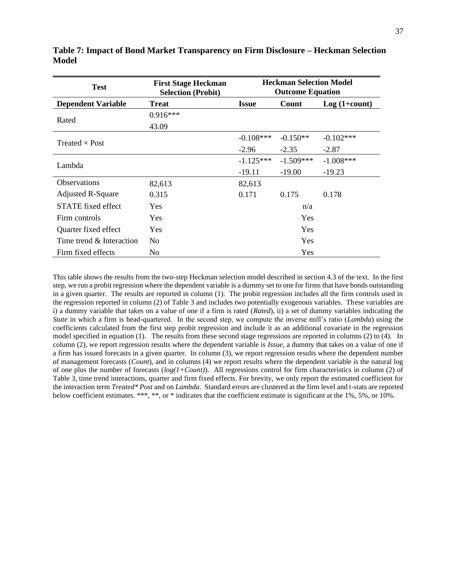| <b>Test</b>                 | <b>First Stage Heckman</b><br><b>Selection (Probit)</b> | <b>Heckman Selection Model</b><br><b>Outcome Equation</b> |              |                |  |  |
|-----------------------------|---------------------------------------------------------|-----------------------------------------------------------|--------------|----------------|--|--|
| <b>Dependent Variable</b>   | <b>Treat</b>                                            | <b>Issue</b>                                              | <b>Count</b> | $Log(1+count)$ |  |  |
| Rated                       | $0.916***$                                              |                                                           |              |                |  |  |
|                             | 43.09                                                   |                                                           |              |                |  |  |
| Treated $\times$ Post       |                                                         | $-0.108***$                                               | $-0.150**$   | $-0.102***$    |  |  |
|                             |                                                         | $-2.96$                                                   | $-2.35$      | $-2.87$        |  |  |
| Lambda                      |                                                         | $-1.125***$                                               | $-1.509***$  | $-1.008***$    |  |  |
|                             |                                                         | $-19.11$                                                  | $-19.00$     | $-19.23$       |  |  |
| <b>Observations</b>         | 82,613                                                  | 82,613                                                    |              |                |  |  |
| <b>Adjusted R-Square</b>    | 0.315                                                   | 0.171                                                     | 0.175        | 0.178          |  |  |
| STATE fixed effect          | <b>Yes</b>                                              | n/a                                                       |              |                |  |  |
| Firm controls               | <b>Yes</b>                                              | Yes                                                       |              |                |  |  |
| Quarter fixed effect        | <b>Yes</b>                                              | Yes                                                       |              |                |  |  |
| Time trend $\&$ Interaction | N <sub>0</sub>                                          | <b>Yes</b>                                                |              |                |  |  |
| Firm fixed effects          | No                                                      |                                                           | Yes          |                |  |  |

**Table 7: Impact of Bond Market Transparency on Firm Disclosure – Heckman Selection Model**

This table shows the results from the two-step Heckman selection model described in section 4.3 of the text. In the first step, we run a probit regression where the dependent variable is a dummy set to one for firms that have bonds outstanding in a given quarter. The results are reported in column (1). The probit regression includes all the firm controls used in the regression reported in column (2) of Table 3 and includes two potentially exogenous variables. These variables are i) a dummy variable that takes on a value of one if a firm is rated (*Rated*), ii) a set of dummy variables indicating the *State* in which a firm is head-quartered. In the second step, we compute the inverse mill's ratio (*Lambda*) using the coefficients calculated from the first step probit regression and include it as an additional covariate in the regression model specified in equation (1). The results from these second stage regressions are reported in columns (2) to (4). In column (2), we report regression results where the dependent variable is *Issue,* a dummy that takes on a value of one if a firm has issued forecasts in a given quarter.In column (3), we report regression results where the dependent number of management forecasts (*Count*), and in columns (4) we report results where the dependent variable is the natural log of one plus the number of forecasts (*log(1+Count)*). All regressions control for firm characteristics in column (2) of Table 3, time trend interactions, quarter and firm fixed effects. For brevity, we only report the estimated coefficient for the interaction term *Treated\* Post* and on *Lambda*. Standard errors are clustered at the firm level and t-stats are reported below coefficient estimates. \*\*\*, \*\*, or \* indicates that the coefficient estimate is significant at the 1%, 5%, or 10%.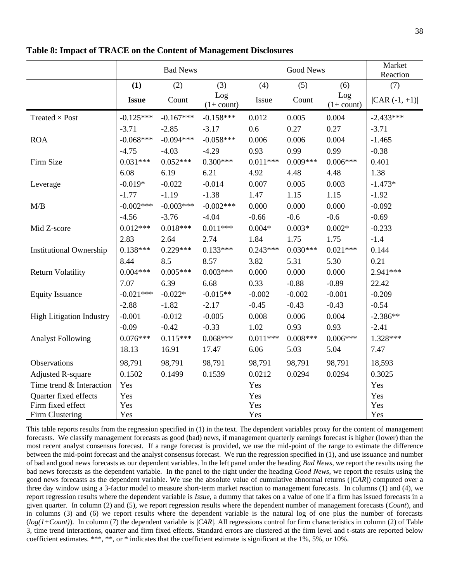|                                 | <b>Bad News</b> |             |                      | <b>Good News</b> |            |                      | Market<br>Reaction |
|---------------------------------|-----------------|-------------|----------------------|------------------|------------|----------------------|--------------------|
|                                 | (1)             | (2)         | (3)                  | (4)              | (5)        | (6)                  | (7)                |
|                                 | <b>Issue</b>    | Count       | Log<br>$(1 + count)$ | Issue            | Count      | Log<br>$(1 + count)$ | $ CAR(-1, +1) $    |
| Treated $\times$ Post           | $-0.125***$     | $-0.167***$ | $-0.158***$          | 0.012            | 0.005      | 0.004                | $-2.433***$        |
|                                 | $-3.71$         | $-2.85$     | $-3.17$              | 0.6              | 0.27       | 0.27                 | $-3.71$            |
| <b>ROA</b>                      | $-0.068***$     | $-0.094***$ | $-0.058***$          | 0.006            | 0.006      | 0.004                | $-1.465$           |
|                                 | $-4.75$         | $-4.03$     | $-4.29$              | 0.93             | 0.99       | 0.99                 | $-0.38$            |
| Firm Size                       | $0.031***$      | $0.052***$  | $0.300***$           | $0.011***$       | $0.009***$ | $0.006***$           | 0.401              |
|                                 | 6.08            | 6.19        | 6.21                 | 4.92             | 4.48       | 4.48                 | 1.38               |
| Leverage                        | $-0.019*$       | $-0.022$    | $-0.014$             | 0.007            | 0.005      | 0.003                | $-1.473*$          |
|                                 | $-1.77$         | $-1.19$     | $-1.38$              | 1.47             | 1.15       | 1.15                 | $-1.92$            |
| M/B                             | $-0.002***$     | $-0.003***$ | $-0.002***$          | 0.000            | 0.000      | 0.000                | $-0.092$           |
|                                 | $-4.56$         | $-3.76$     | $-4.04$              | $-0.66$          | $-0.6$     | $-0.6$               | $-0.69$            |
| Mid Z-score                     | $0.012***$      | $0.018***$  | $0.011***$           | $0.004*$         | $0.003*$   | $0.002*$             | $-0.233$           |
|                                 | 2.83            | 2.64        | 2.74                 | 1.84             | 1.75       | 1.75                 | $-1.4$             |
| <b>Institutional Ownership</b>  | $0.138***$      | $0.229***$  | $0.133***$           | $0.243***$       | $0.030***$ | $0.021***$           | 0.144              |
|                                 | 8.44            | 8.5         | 8.57                 | 3.82             | 5.31       | 5.30                 | 0.21               |
| <b>Return Volatility</b>        | $0.004***$      | $0.005***$  | $0.003***$           | 0.000            | 0.000      | 0.000                | 2.941 ***          |
|                                 | 7.07            | 6.39        | 6.68                 | 0.33             | $-0.88$    | $-0.89$              | 22.42              |
| <b>Equity Issuance</b>          | $-0.021***$     | $-0.022*$   | $-0.015**$           | $-0.002$         | $-0.002$   | $-0.001$             | $-0.209$           |
|                                 | $-2.88$         | $-1.82$     | $-2.17$              | $-0.45$          | $-0.43$    | $-0.43$              | $-0.54$            |
| <b>High Litigation Industry</b> | $-0.001$        | $-0.012$    | $-0.005$             | 0.008            | 0.006      | 0.004                | $-2.386**$         |
|                                 | $-0.09$         | $-0.42$     | $-0.33$              | 1.02             | 0.93       | 0.93                 | $-2.41$            |
| <b>Analyst Following</b>        | $0.076***$      | $0.115***$  | $0.068***$           | $0.011***$       | $0.008***$ | $0.006***$           | 1.328***           |
|                                 | 18.13           | 16.91       | 17.47                | 6.06             | 5.03       | 5.04                 | 7.47               |
| Observations                    | 98,791          | 98,791      | 98,791               | 98,791           | 98,791     | 98,791               | 18,593             |
| <b>Adjusted R-square</b>        | 0.1502          | 0.1499      | 0.1539               | 0.0212           | 0.0294     | 0.0294               | 0.3025             |
| Time trend & Interaction        | Yes             |             |                      | Yes              |            |                      | Yes                |
| Quarter fixed effects           | Yes             |             |                      | Yes              |            |                      | Yes                |
| Firm fixed effect               | Yes             |             |                      | Yes              |            |                      | Yes                |
| Firm Clustering                 | Yes             |             |                      | Yes              |            |                      | Yes                |

**Table 8: Impact of TRACE on the Content of Management Disclosures**

This table reports results from the regression specified in (1) in the text. The dependent variables proxy for the content of management forecasts. We classify management forecasts as good (bad) news, if management quarterly earnings forecast is higher (lower) than the most recent analyst consensus forecast. If a range forecast is provided, we use the mid-point of the range to estimate the difference between the mid-point forecast and the analyst consensus forecast. We run the regression specified in (1), and use issuance and number of bad and good news forecasts as our dependent variables. In the left panel under the heading *Bad News*, we report the results using the bad news forecasts as the dependent variable. In the panel to the right under the heading *Good News*, we report the results using the good news forecasts as the dependent variable. We use the absolute value of cumulative abnormal returns (*|CAR|*) computed over a three day window using a 3-factor model to measure short-term market reaction to management forecasts. In columns (1) and (4), we report regression results where the dependent variable is *Issue,* a dummy that takes on a value of one if a firm has issued forecasts in a given quarter.In column (2) and (5), we report regression results where the dependent number of management forecasts (*Count*), and in columns (3) and (6) we report results where the dependent variable is the natural log of one plus the number of forecasts (*log(1+Count)*). In column (7) the dependent variable is *|CAR|.* All regressions control for firm characteristics in column (2) of Table 3, time trend interactions, quarter and firm fixed effects. Standard errors are clustered at the firm level and t-stats are reported below coefficient estimates. \*\*\*, \*\*, or \* indicates that the coefficient estimate is significant at the 1%, 5%, or 10%.